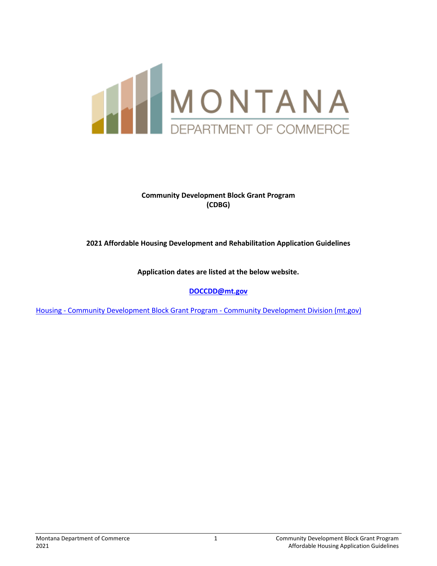

## **Community Development Block Grant Program (CDBG)**

## **2021 Affordable Housing Development and Rehabilitation Application Guidelines**

**Application dates are listed at the below website.** 

**[DOCCDD@mt.gov](mailto:DOCCDD@mt.gov)**

Housing - [Community Development Block Grant Program -](https://comdev.mt.gov/Programs-and-Boards/Community-Development-Block-Grant-Program/Housing) Community Development Division (mt.gov)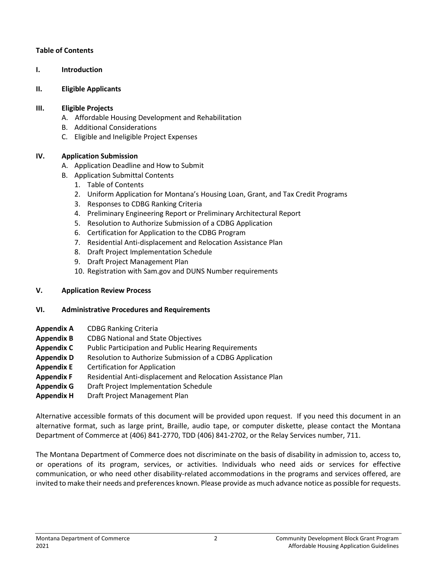## **Table of Contents**

**I. Introduction**

## **II. Eligible Applicants**

## **III. Eligible Projects**

- A.Affordable Housing Development and Rehabilitation
- B. Additional Considerations
- C. Eligible and Ineligible Project Expenses

# **IV. Application Submission**

- A. Application Deadline and How to Submit
- B. Application Submittal Contents
	- 1. Table of Contents
	- 2. Uniform Application for Montana's Housing Loan, Grant, and Tax Credit Programs
	- 3. Responses to CDBG Ranking Criteria
	- 4. Preliminary Engineering Report or Preliminary Architectural Report
	- 5. Resolution to Authorize Submission of a CDBG Application
	- 6. Certification for Application to the CDBG Program
	- 7. Residential Anti-displacement and Relocation Assistance Plan
	- 8. Draft Project Implementation Schedule
	- 9. Draft Project Management Plan
	- 10. Registration with Sam.gov and DUNS Number requirements

## **V. Application Review Process**

## **VI. Administrative Procedures and Requirements**

- **Appendix A** CDBG Ranking Criteria
- **Appendix B** CDBG National and State Objectives
- **Appendix C** Public Participation and Public Hearing Requirements
- **Appendix D** Resolution to Authorize Submission of a CDBG Application
- **Appendix E** Certification for Application
- **Appendix F** Residential Anti-displacement and Relocation Assistance Plan
- **Appendix G** Draft Project Implementation Schedule
- **Appendix H** Draft Project Management Plan

Alternative accessible formats of this document will be provided upon request. If you need this document in an alternative format, such as large print, Braille, audio tape, or computer diskette, please contact the Montana Department of Commerce at (406) 841-2770, TDD (406) 841-2702, or the Relay Services number, 711.

The Montana Department of Commerce does not discriminate on the basis of disability in admission to, access to, or operations of its program, services, or activities. Individuals who need aids or services for effective communication, or who need other disability-related accommodations in the programs and services offered, are invited to make their needs and preferences known. Please provide as much advance notice as possible for requests.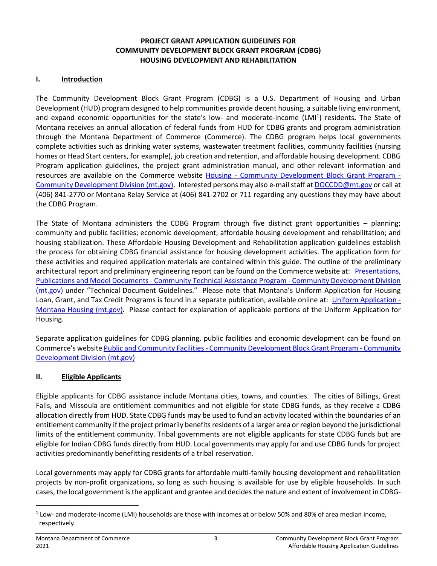## **PROJECT GRANT APPLICATION GUIDELINES FOR COMMUNITY DEVELOPMENT BLOCK GRANT PROGRAM (CDBG) HOUSING DEVELOPMENT AND REHABILITATION**

#### **I. Introduction**

The Community Development Block Grant Program (CDBG) is a U.S. Department of Housing and Urban Development (HUD) program designed to help communities provide decent housing, a suitable living environment, and expand economic opportunities for the state's low- and moderate-income (LMI<sup>[1](#page-2-0)</sup>) residents. The State of Montana receives an annual allocation of federal funds from HUD for CDBG grants and program administration through the Montana Department of Commerce (Commerce). The CDBG program helps local governments complete activities such as drinking water systems, wastewater treatment facilities, community facilities (nursing homes or Head Start centers, for example), job creation and retention, and affordable housing development. CDBG Program application guidelines, the project grant administration manual, and other relevant information and resources are available on the Commerce website Housing - [Community Development Block Grant Program -](https://comdev.mt.gov/Programs-and-Boards/Community-Development-Block-Grant-Program/Housing) [Community Development Division \(mt.gov\).](https://comdev.mt.gov/Programs-and-Boards/Community-Development-Block-Grant-Program/Housing) Interested persons may also e-mail staff at [DOCCDD@mt.gov](mailto:DOCCDD@mt.gov) or call at (406) 841-2770 or Montana Relay Service at (406) 841-2702 or 711 regarding any questions they may have about the CDBG Program.

The State of Montana administers the CDBG Program through five distinct grant opportunities – planning; community and public facilities; economic development; affordable housing development and rehabilitation; and housing stabilization. These Affordable Housing Development and Rehabilitation application guidelines establish the process for obtaining CDBG financial assistance for housing development activities. The application form for these activities and required application materials are contained within this guide. The outline of the preliminary architectural report and preliminary engineering report can be found on the Commerce website at: Presentations, Publications and Model Documents - [Community Technical Assistance Program -](https://comdev.mt.gov/Programs-and-Boards/Community-Technical-Assistance-Program/Presentations,-Publications-and-Model-Documents) Community Development Division [\(mt.gov\)](https://comdev.mt.gov/Programs-and-Boards/Community-Technical-Assistance-Program/Presentations,-Publications-and-Model-Documents) under "Technical Document Guidelines." Please note that [Montana's Uniform Application for Housing](http://housing.mt.gov/FAR/housingapps.mcpx)  [Loan, Grant, and Tax Credit Programs](http://housing.mt.gov/FAR/housingapps.mcpx) is found in a separate publication, available online at: [Uniform Application -](https://housing.mt.gov/Multifamily-Development/Uniform-Application) [Montana Housing \(mt.gov\).](https://housing.mt.gov/Multifamily-Development/Uniform-Application) Please contact for explanation of applicable portions of the Uniform Application for Housing.

Separate application guidelines for CDBG planning, public facilities and economic development can be found on Commerce's website Public and Community Facilities - [Community Development Block Grant Program -](https://comdev.mt.gov/Programs-and-Boards/Community-Development-Block-Grant-Program/Public-and-Community-Facilities) Community [Development Division \(mt.gov\)](https://comdev.mt.gov/Programs-and-Boards/Community-Development-Block-Grant-Program/Public-and-Community-Facilities)

## **II. Eligible Applicants**

Eligible applicants for CDBG assistance include Montana cities, towns, and counties. The cities of Billings, Great Falls, and Missoula are entitlement communities and not eligible for state CDBG funds, as they receive a CDBG allocation directly from HUD. State CDBG funds may be used to fund an activity located within the boundaries of an entitlement community if the project primarily benefits residents of a larger area or region beyond the jurisdictional limits of the entitlement community. Tribal governments are not eligible applicants for state CDBG funds but are eligible for Indian CDBG funds directly from HUD. Local governments may apply for and use CDBG funds for project activities predominantly benefitting residents of a tribal reservation.

Local governments may apply for CDBG grants for affordable multi-family housing development and rehabilitation projects by non-profit organizations, so long as such housing is available for use by eligible households. In such cases, the local government is the applicant and grantee and decides the nature and extent of involvement in CDBG-

<span id="page-2-0"></span><sup>1</sup> Low- and moderate-income (LMI) households are those with incomes at or below 50% and 80% of area median income, respectively.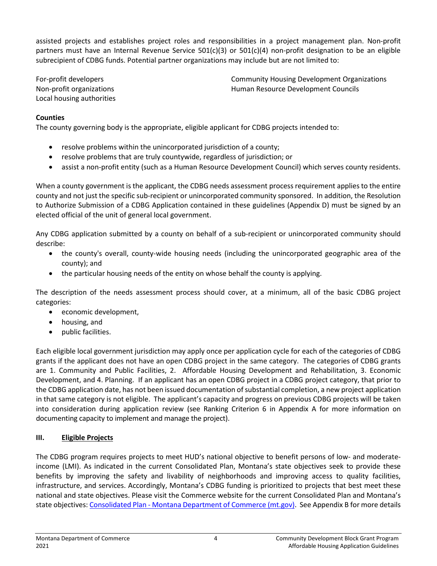assisted projects and establishes project roles and responsibilities in a project management plan. Non-profit partners must have an Internal Revenue Service 501(c)(3) or 501(c)(4) non-profit designation to be an eligible subrecipient of CDBG funds. Potential partner organizations may include but are not limited to:

For-profit developers Non-profit organizations Local housing authorities Community Housing Development Organizations Human Resource Development Councils

## **Counties**

The county governing body is the appropriate, eligible applicant for CDBG projects intended to:

- resolve problems within the unincorporated jurisdiction of a county;
- resolve problems that are truly countywide, regardless of jurisdiction; or
- assist a non-profit entity (such as a Human Resource Development Council) which serves county residents.

When a county government is the applicant, the CDBG needs assessment process requirement applies to the entire county and not just the specific sub-recipient or unincorporated community sponsored. In addition, the Resolution to Authorize Submission of a CDBG Application contained in these guidelines (Appendix D) must be signed by an elected official of the unit of general local government.

Any CDBG application submitted by a county on behalf of a sub-recipient or unincorporated community should describe:

- the county's overall, county-wide housing needs (including the unincorporated geographic area of the county); and
- the particular housing needs of the entity on whose behalf the county is applying.

The description of the needs assessment process should cover, at a minimum, all of the basic CDBG project categories:

- economic development,
- housing, and
- public facilities.

Each eligible local government jurisdiction may apply once per application cycle for each of the categories of CDBG grants if the applicant does not have an open CDBG project in the same category. The categories of CDBG grants are 1. Community and Public Facilities, 2. Affordable Housing Development and Rehabilitation, 3. Economic Development, and 4. Planning. If an applicant has an open CDBG project in a CDBG project category, that prior to the CDBG application date, has not been issued documentation ofsubstantial completion, a new project application in that same category is not eligible. The applicant's capacity and progress on previous CDBG projects will be taken into consideration during application review (see Ranking Criterion 6 in Appendix A for more information on documenting capacity to implement and manage the project).

## **III. Eligible Projects**

The CDBG program requires projects to meet HUD's national objective to benefit persons of low- and moderateincome (LMI). As indicated in the current Consolidated Plan, Montana's state objectives seek to provide these benefits by improving the safety and livability of neighborhoods and improving access to quality facilities, infrastructure, and services. Accordingly, Montana's CDBG funding is prioritized to projects that best meet these national and state objectives. Please visit the Commerce website for the current Consolidated Plan and Montana's state objectives: Consolidated Plan - [Montana Department of Commerce \(mt.gov\).](https://commerce.mt.gov/Consolidated-Plan/) See Appendix B for more details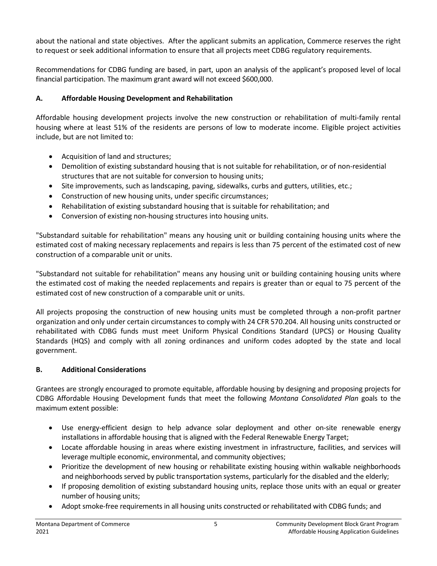about the national and state objectives. After the applicant submits an application, Commerce reserves the right to request or seek additional information to ensure that all projects meet CDBG regulatory requirements.

Recommendations for CDBG funding are based, in part, upon an analysis of the applicant's proposed level of local financial participation. The maximum grant award will not exceed \$600,000.

# **A. Affordable Housing Development and Rehabilitation**

Affordable housing development projects involve the new construction or rehabilitation of multi-family rental housing where at least 51% of the residents are persons of low to moderate income. Eligible project activities include, but are not limited to:

- Acquisition of land and structures;
- Demolition of existing substandard housing that is not suitable for rehabilitation, or of non-residential structures that are not suitable for conversion to housing units;
- Site improvements, such as landscaping, paving, sidewalks, curbs and gutters, utilities, etc.;
- Construction of new housing units, under specific circumstances;
- Rehabilitation of existing substandard housing that is suitable for rehabilitation; and
- Conversion of existing non-housing structures into housing units.

"Substandard suitable for rehabilitation" means any housing unit or building containing housing units where the estimated cost of making necessary replacements and repairs is less than 75 percent of the estimated cost of new construction of a comparable unit or units.

"Substandard not suitable for rehabilitation" means any housing unit or building containing housing units where the estimated cost of making the needed replacements and repairs is greater than or equal to 75 percent of the estimated cost of new construction of a comparable unit or units.

All projects proposing the construction of new housing units must be completed through a non-profit partner organization and only under certain circumstances to comply with 24 CFR 570.204. All housing units constructed or rehabilitated with CDBG funds must meet Uniform Physical Conditions Standard (UPCS) or Housing Quality Standards (HQS) and comply with all zoning ordinances and uniform codes adopted by the state and local government.

# **B. Additional Considerations**

Grantees are strongly encouraged to promote equitable, affordable housing by designing and proposing projects for CDBG Affordable Housing Development funds that meet the following *Montana Consolidated Plan* goals to the maximum extent possible:

- Use energy-efficient design to help advance solar deployment and other on-site renewable energy installations in affordable housing that is aligned with the Federal Renewable Energy Target;
- Locate affordable housing in areas where existing investment in infrastructure, facilities, and services will leverage multiple economic, environmental, and community objectives;
- Prioritize the development of new housing or rehabilitate existing housing within walkable neighborhoods and neighborhoods served by public transportation systems, particularly for the disabled and the elderly;
- If proposing demolition of existing substandard housing units, replace those units with an equal or greater number of housing units;
- Adopt smoke-free requirements in all housing units constructed or rehabilitated with CDBG funds; and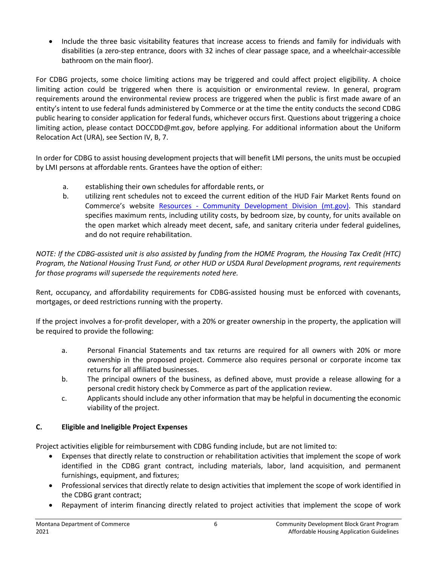• Include the three basic visitability features that increase access to friends and family for individuals with disabilities (a zero-step entrance, doors with 32 inches of clear passage space, and a wheelchair-accessible bathroom on the main floor).

For CDBG projects, some choice limiting actions may be triggered and could affect project eligibility. A choice limiting action could be triggered when there is acquisition or environmental review. In general, program requirements around the environmental review process are triggered when the public is first made aware of an entity's intent to use federal funds administered by Commerce or at the time the entity conducts the second CDBG public hearing to consider application for federal funds, whichever occurs first. Questions about triggering a choice limiting action, please contact DOCCDD@mt.gov, before applying. For additional information about the Uniform Relocation Act (URA), see Section IV, B, 7.

In order for CDBG to assist housing development projects that will benefit LMI persons, the units must be occupied by LMI persons at affordable rents. Grantees have the option of either:

- a. establishing their own schedules for affordable rents, or
- b. utilizing rent schedules not to exceed the current edition of the HUD Fair Market Rents found on Commerce's website Resources - [Community Development Division \(mt.gov\).](https://comdev.mt.gov/Resources/) This standard specifies maximum rents, including utility costs, by bedroom size, by county, for units available on the open market which already meet decent, safe, and sanitary criteria under federal guidelines, and do not require rehabilitation.

*NOTE: If the CDBG-assisted unit is also assisted by funding from the HOME Program, the Housing Tax Credit (HTC) Program, the National Housing Trust Fund, or other HUD or USDA Rural Development programs, rent requirements for those programs will supersede the requirements noted here.*

Rent, occupancy, and affordability requirements for CDBG-assisted housing must be enforced with covenants, mortgages, or deed restrictions running with the property.

If the project involves a for-profit developer, with a 20% or greater ownership in the property, the application will be required to provide the following:

- a. Personal Financial Statements and tax returns are required for all owners with 20% or more ownership in the proposed project. Commerce also requires personal or corporate income tax returns for all affiliated businesses.
- b. The principal owners of the business, as defined above, must provide a release allowing for a personal credit history check by Commerce as part of the application review.
- c. Applicants should include any other information that may be helpful in documenting the economic viability of the project.

# **C. Eligible and Ineligible Project Expenses**

Project activities eligible for reimbursement with CDBG funding include, but are not limited to:

- Expenses that directly relate to construction or rehabilitation activities that implement the scope of work identified in the CDBG grant contract, including materials, labor, land acquisition, and permanent furnishings, equipment, and fixtures;
- Professional services that directly relate to design activities that implement the scope of work identified in the CDBG grant contract;
- Repayment of interim financing directly related to project activities that implement the scope of work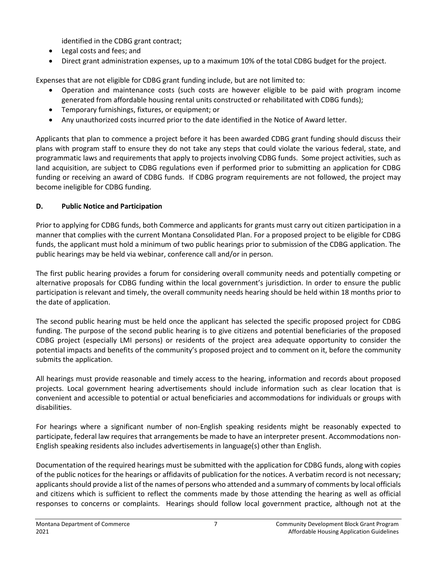identified in the CDBG grant contract;

- Legal costs and fees; and
- Direct grant administration expenses, up to a maximum 10% of the total CDBG budget for the project.

Expenses that are not eligible for CDBG grant funding include, but are not limited to:

- Operation and maintenance costs (such costs are however eligible to be paid with program income generated from affordable housing rental units constructed or rehabilitated with CDBG funds);
- Temporary furnishings, fixtures, or equipment; or
- Any unauthorized costs incurred prior to the date identified in the Notice of Award letter.

Applicants that plan to commence a project before it has been awarded CDBG grant funding should discuss their plans with program staff to ensure they do not take any steps that could violate the various federal, state, and programmatic laws and requirements that apply to projects involving CDBG funds. Some project activities, such as land acquisition, are subject to CDBG regulations even if performed prior to submitting an application for CDBG funding or receiving an award of CDBG funds. If CDBG program requirements are not followed, the project may become ineligible for CDBG funding.

# **D. Public Notice and Participation**

Prior to applying for CDBG funds, both Commerce and applicants for grants must carry out citizen participation in a manner that complies with the current Montana Consolidated Plan. For a proposed project to be eligible for CDBG funds, the applicant must hold a minimum of two public hearings prior to submission of the CDBG application. The public hearings may be held via webinar, conference call and/or in person.

The first public hearing provides a forum for considering overall community needs and potentially competing or alternative proposals for CDBG funding within the local government's jurisdiction. In order to ensure the public participation is relevant and timely, the overall community needs hearing should be held within 18 months prior to the date of application.

The second public hearing must be held once the applicant has selected the specific proposed project for CDBG funding. The purpose of the second public hearing is to give citizens and potential beneficiaries of the proposed CDBG project (especially LMI persons) or residents of the project area adequate opportunity to consider the potential impacts and benefits of the community's proposed project and to comment on it, before the community submits the application.

All hearings must provide reasonable and timely access to the hearing, information and records about proposed projects. Local government hearing advertisements should include information such as clear location that is convenient and accessible to potential or actual beneficiaries and accommodations for individuals or groups with disabilities.

For hearings where a significant number of non-English speaking residents might be reasonably expected to participate, federal law requires that arrangements be made to have an interpreter present. Accommodations non-English speaking residents also includes advertisements in language(s) other than English.

Documentation of the required hearings must be submitted with the application for CDBG funds, along with copies of the public notices for the hearings or affidavits of publication for the notices. A verbatim record is not necessary; applicants should provide a list of the names of persons who attended and a summary of comments by local officials and citizens which is sufficient to reflect the comments made by those attending the hearing as well as official responses to concerns or complaints. Hearings should follow local government practice, although not at the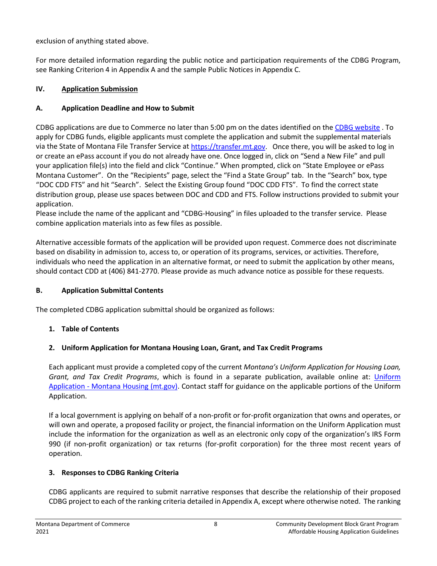exclusion of anything stated above.

For more detailed information regarding the public notice and participation requirements of the CDBG Program, see Ranking Criterion 4 in Appendix A and the sample Public Notices in Appendix C.

# **IV. Application Submission**

# **A. Application Deadline and How to Submit**

CDBG applications are due to Commerce no later than 5:00 pm on the dates identified on th[e CDBG website](https://comdev.mt.gov/Programs-and-Boards/Community-Development-Block-Grant-Program/Public-and-Community-Facilities) . To apply for CDBG funds, eligible applicants must complete the application and submit the supplemental materials via the State of Montana File Transfer Service a[t https://transfer.mt.gov.](https://transfer.mt.gov/) Once there, you will be asked to log in or create an ePass account if you do not already have one. Once logged in, click on "Send a New File" and pull your application file(s) into the field and click "Continue." When prompted, click on "State Employee or ePass Montana Customer". On the "Recipients" page, select the "Find a State Group" tab. In the "Search" box, type "DOC CDD FTS" and hit "Search". Select the Existing Group found "DOC CDD FTS". To find the correct state distribution group, please use spaces between DOC and CDD and FTS. Follow instructions provided to submit your application.

Please include the name of the applicant and "CDBG-Housing" in files uploaded to the transfer service. Please combine application materials into as few files as possible.

Alternative accessible formats of the application will be provided upon request. Commerce does not discriminate based on disability in admission to, access to, or operation of its programs, services, or activities. Therefore, individuals who need the application in an alternative format, or need to submit the application by other means, should contact CDD at (406) 841-2770. Please provide as much advance notice as possible for these requests.

# **B. Application Submittal Contents**

The completed CDBG application submittal should be organized as follows:

# **1. Table of Contents**

# **2. Uniform Application for Montana Housing Loan, Grant, and Tax Credit Programs**

Each applicant must provide a completed copy of the current *[Montana's Uniform Application for Housing Loan,](http://housing.mt.gov/FAR/housingapps.mcpx)  [Grant, and Tax Credit Programs](http://housing.mt.gov/FAR/housingapps.mcpx)*, which is found in a separate publication, available online at: [Uniform](https://housing.mt.gov/Multifamily-Development/Uniform-Application)  Application - [Montana Housing \(mt.gov\).](https://housing.mt.gov/Multifamily-Development/Uniform-Application) Contact staff for guidance on the applicable portions of the Uniform Application.

If a local government is applying on behalf of a non-profit or for-profit organization that owns and operates, or will own and operate, a proposed facility or project, the financial information on the Uniform Application must include the information for the organization as well as an electronic only copy of the organization's IRS Form 990 (if non-profit organization) or tax returns (for-profit corporation) for the three most recent years of operation.

# **3. Responses to CDBG Ranking Criteria**

CDBG applicants are required to submit narrative responses that describe the relationship of their proposed CDBG project to each of the ranking criteria detailed in Appendix A, except where otherwise noted. The ranking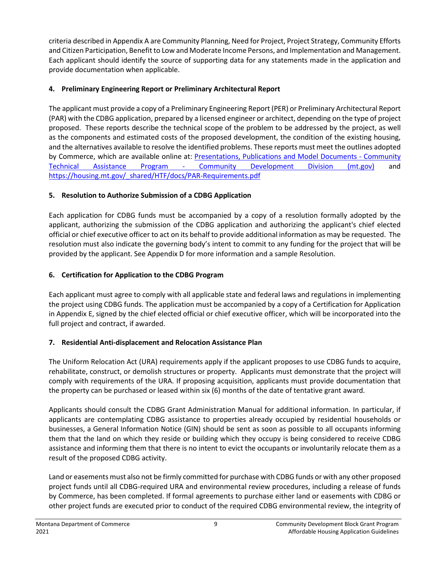criteria described in Appendix A are Community Planning, Need for Project, Project Strategy, Community Efforts and Citizen Participation, Benefit to Low and Moderate Income Persons, and Implementation and Management. Each applicant should identify the source of supporting data for any statements made in the application and provide documentation when applicable.

# **4. Preliminary Engineering Report or Preliminary Architectural Report**

The applicant must provide a copy of a Preliminary Engineering Report (PER) or Preliminary Architectural Report (PAR) with the CDBG application, prepared by a licensed engineer or architect, depending on the type of project proposed. These reports describe the technical scope of the problem to be addressed by the project, as well as the components and estimated costs of the proposed development, the condition of the existing housing, and the alternatives available to resolve the identified problems. These reports must meet the outlines adopted by Commerce, which are available online at: [Presentations, Publications and Model Documents -](file://entdoc0015/CDDSHARE/CDBG/GUIDELINES%20&%20GRANT%20ADMIN/Application%20Guidelines/2021/Presentations,%20Publications%20and%20Model%20Documents%20-%20Community%20Technical%20Assistance%20Program%20-%20Community%20Development%20Division%20(mt.gov)) Community Technical Assistance Program - [Community Development Division \(mt.gov\)](file://entdoc0015/CDDSHARE/CDBG/GUIDELINES%20&%20GRANT%20ADMIN/Application%20Guidelines/2021/Presentations,%20Publications%20and%20Model%20Documents%20-%20Community%20Technical%20Assistance%20Program%20-%20Community%20Development%20Division%20(mt.gov)) and [https://housing.mt.gov/\\_shared/HTF/docs/PAR-Requirements.pdf](https://housing.mt.gov/_shared/HTF/docs/PAR-Requirements.pdf)

# **5. Resolution to Authorize Submission of a CDBG Application**

Each application for CDBG funds must be accompanied by a copy of a resolution formally adopted by the applicant, authorizing the submission of the CDBG application and authorizing the applicant's chief elected official or chief executive officer to act on its behalf to provide additional information as may be requested. The resolution must also indicate the governing body's intent to commit to any funding for the project that will be provided by the applicant. See Appendix D for more information and a sample Resolution.

# **6. Certification for Application to the CDBG Program**

Each applicant must agree to comply with all applicable state and federal laws and regulations in implementing the project using CDBG funds. The application must be accompanied by a copy of a Certification for Application in Appendix E, signed by the chief elected official or chief executive officer, which will be incorporated into the full project and contract, if awarded.

# **7. Residential Anti-displacement and Relocation Assistance Plan**

The Uniform Relocation Act (URA) requirements apply if the applicant proposes to use CDBG funds to acquire, rehabilitate, construct, or demolish structures or property. Applicants must demonstrate that the project will comply with requirements of the URA. If proposing acquisition, applicants must provide documentation that the property can be purchased or leased within six (6) months of the date of tentative grant award.

Applicants should consult the CDBG Grant Administration Manual for additional information. In particular, if applicants are contemplating CDBG assistance to properties already occupied by residential households or businesses, a General Information Notice (GIN) should be sent as soon as possible to all occupants informing them that the land on which they reside or building which they occupy is being considered to receive CDBG assistance and informing them that there is no intent to evict the occupants or involuntarily relocate them as a result of the proposed CDBG activity.

Land or easements must also not be firmly committed for purchase with CDBG funds or with any other proposed project funds until all CDBG-required URA and environmental review procedures, including a release of funds by Commerce, has been completed. If formal agreements to purchase either land or easements with CDBG or other project funds are executed prior to conduct of the required CDBG environmental review, the integrity of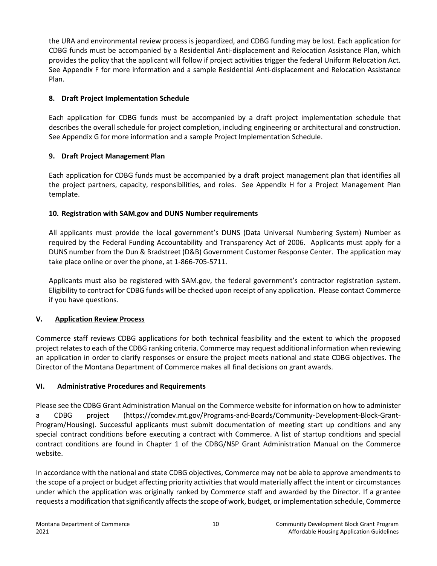the URA and environmental review process is jeopardized, and CDBG funding may be lost. Each application for CDBG funds must be accompanied by a Residential Anti-displacement and Relocation Assistance Plan, which provides the policy that the applicant will follow if project activities trigger the federal Uniform Relocation Act. See Appendix F for more information and a sample Residential Anti-displacement and Relocation Assistance Plan.

# **8. Draft Project Implementation Schedule**

Each application for CDBG funds must be accompanied by a draft project implementation schedule that describes the overall schedule for project completion, including engineering or architectural and construction. See Appendix G for more information and a sample Project Implementation Schedule.

# **9. Draft Project Management Plan**

Each application for CDBG funds must be accompanied by a draft project management plan that identifies all the project partners, capacity, responsibilities, and roles. See Appendix H for a Project Management Plan template.

# **10. Registration with SAM.gov and DUNS Number requirements**

All applicants must provide the local government's DUNS (Data Universal Numbering System) Number as required by the Federal Funding Accountability and Transparency Act of 2006. Applicants must apply for a DUNS number from the Dun & Bradstreet (D&B) Government Customer Response Center. The application may take place online or over the phone, at 1-866-705-5711.

Applicants must also be registered with SAM.gov, the federal government's contractor registration system. Eligibility to contract for CDBG funds will be checked upon receipt of any application. Please contact Commerce if you have questions.

# **V. Application Review Process**

Commerce staff reviews CDBG applications for both technical feasibility and the extent to which the proposed project relates to each of the CDBG ranking criteria. Commerce may request additional information when reviewing an application in order to clarify responses or ensure the project meets national and state CDBG objectives. The Director of the Montana Department of Commerce makes all final decisions on grant awards.

# **VI. Administrative Procedures and Requirements**

Please see the CDBG Grant Administration Manual on the Commerce website for information on how to administer a CDBG project (https://comdev.mt.gov/Programs-and-Boards/Community-Development-Block-Grant-Program/Housing). Successful applicants must submit documentation of meeting start up conditions and any special contract conditions before executing a contract with Commerce. A list of startup conditions and special contract conditions are found in Chapter 1 of the CDBG/NSP Grant Administration Manual on the Commerce website.

In accordance with the national and state CDBG objectives, Commerce may not be able to approve amendments to the scope of a project or budget affecting priority activities that would materially affect the intent or circumstances under which the application was originally ranked by Commerce staff and awarded by the Director. If a grantee requests a modification that significantly affects the scope of work, budget, or implementation schedule, Commerce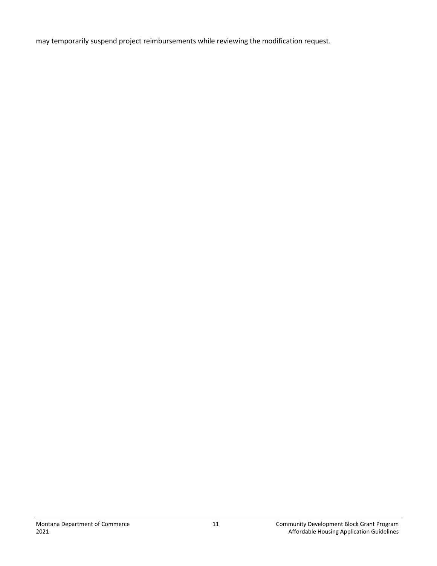may temporarily suspend project reimbursements while reviewing the modification request.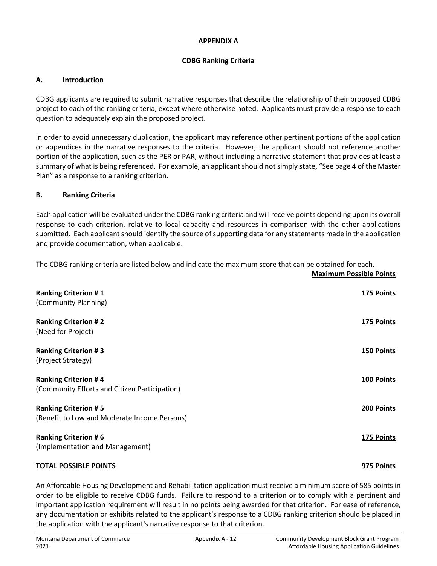#### **APPENDIX A**

#### **CDBG Ranking Criteria**

#### **A. Introduction**

CDBG applicants are required to submit narrative responses that describe the relationship of their proposed CDBG project to each of the ranking criteria, except where otherwise noted. Applicants must provide a response to each question to adequately explain the proposed project.

In order to avoid unnecessary duplication, the applicant may reference other pertinent portions of the application or appendices in the narrative responses to the criteria. However, the applicant should not reference another portion of the application, such as the PER or PAR, without including a narrative statement that provides at least a summary of what is being referenced. For example, an applicant should not simply state, "See page 4 of the Master Plan" as a response to a ranking criterion.

#### **B. Ranking Criteria**

Each application will be evaluated under the CDBG ranking criteria and will receive points depending upon its overall response to each criterion, relative to local capacity and resources in comparison with the other applications submitted. Each applicant should identify the source of supporting data for any statements made in the application and provide documentation, when applicable.

| The CDBG ranking criteria are listed below and indicate the maximum score that can be obtained for each. |  |
|----------------------------------------------------------------------------------------------------------|--|
|----------------------------------------------------------------------------------------------------------|--|

| 175 Points        |
|-------------------|
|                   |
| 175 Points        |
|                   |
| <b>150 Points</b> |
|                   |
| 100 Points        |
|                   |
| 200 Points        |
|                   |
| 175 Points        |
|                   |
| 975 Points        |
|                   |

An Affordable Housing Development and Rehabilitation application must receive a minimum score of 585 points in order to be eligible to receive CDBG funds. Failure to respond to a criterion or to comply with a pertinent and important application requirement will result in no points being awarded for that criterion. For ease of reference, any documentation or exhibits related to the applicant's response to a CDBG ranking criterion should be placed in the application with the applicant's narrative response to that criterion.

**Maximum Possible Points**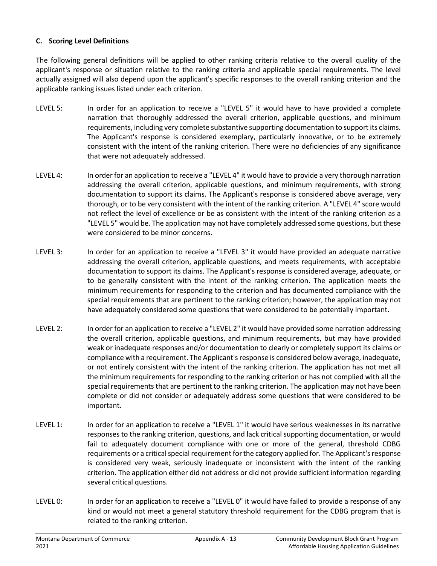#### **C. Scoring Level Definitions**

The following general definitions will be applied to other ranking criteria relative to the overall quality of the applicant's response or situation relative to the ranking criteria and applicable special requirements. The level actually assigned will also depend upon the applicant's specific responses to the overall ranking criterion and the applicable ranking issues listed under each criterion.

- LEVEL 5: In order for an application to receive a "LEVEL 5" it would have to have provided a complete narration that thoroughly addressed the overall criterion, applicable questions, and minimum requirements, including very complete substantive supporting documentation to support its claims. The Applicant's response is considered exemplary, particularly innovative, or to be extremely consistent with the intent of the ranking criterion. There were no deficiencies of any significance that were not adequately addressed.
- LEVEL 4: In order for an application to receive a "LEVEL 4" it would have to provide a very thorough narration addressing the overall criterion, applicable questions, and minimum requirements, with strong documentation to support its claims. The Applicant's response is considered above average, very thorough, or to be very consistent with the intent of the ranking criterion. A "LEVEL 4" score would not reflect the level of excellence or be as consistent with the intent of the ranking criterion as a "LEVEL 5" would be. The application may not have completely addressed some questions, but these were considered to be minor concerns.
- LEVEL 3: In order for an application to receive a "LEVEL 3" it would have provided an adequate narrative addressing the overall criterion, applicable questions, and meets requirements, with acceptable documentation to support its claims. The Applicant's response is considered average, adequate, or to be generally consistent with the intent of the ranking criterion. The application meets the minimum requirements for responding to the criterion and has documented compliance with the special requirements that are pertinent to the ranking criterion; however, the application may not have adequately considered some questions that were considered to be potentially important.
- LEVEL 2: In order for an application to receive a "LEVEL 2" it would have provided some narration addressing the overall criterion, applicable questions, and minimum requirements, but may have provided weak or inadequate responses and/or documentation to clearly or completely support its claims or compliance with a requirement. The Applicant's response is considered below average, inadequate, or not entirely consistent with the intent of the ranking criterion. The application has not met all the minimum requirements for responding to the ranking criterion or has not complied with all the special requirements that are pertinent to the ranking criterion. The application may not have been complete or did not consider or adequately address some questions that were considered to be important.
- LEVEL 1: In order for an application to receive a "LEVEL 1" it would have serious weaknesses in its narrative responses to the ranking criterion, questions, and lack critical supporting documentation, or would fail to adequately document compliance with one or more of the general, threshold CDBG requirements or a critical special requirement for the category applied for. The Applicant's response is considered very weak, seriously inadequate or inconsistent with the intent of the ranking criterion. The application either did not address or did not provide sufficient information regarding several critical questions.
- LEVEL 0: In order for an application to receive a "LEVEL 0" it would have failed to provide a response of any kind or would not meet a general statutory threshold requirement for the CDBG program that is related to the ranking criterion.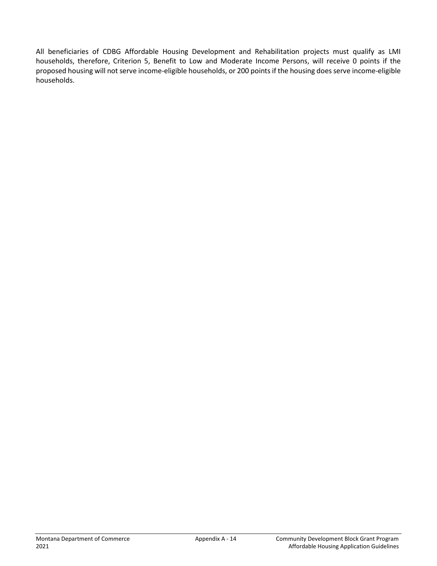All beneficiaries of CDBG Affordable Housing Development and Rehabilitation projects must qualify as LMI households, therefore, Criterion 5, Benefit to Low and Moderate Income Persons, will receive 0 points if the proposed housing will not serve income-eligible households, or 200 points if the housing does serve income-eligible households.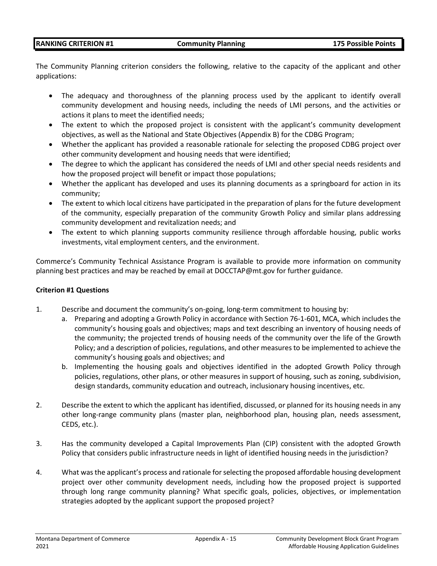#### **RANKING CRITERION #1 Community Planning 175 Possible Points**

The Community Planning criterion considers the following, relative to the capacity of the applicant and other applications:

- The adequacy and thoroughness of the planning process used by the applicant to identify overall community development and housing needs, including the needs of LMI persons, and the activities or actions it plans to meet the identified needs;
- The extent to which the proposed project is consistent with the applicant's community development objectives, as well as the National and State Objectives (Appendix B) for the CDBG Program;
- Whether the applicant has provided a reasonable rationale for selecting the proposed CDBG project over other community development and housing needs that were identified;
- The degree to which the applicant has considered the needs of LMI and other special needs residents and how the proposed project will benefit or impact those populations;
- Whether the applicant has developed and uses its planning documents as a springboard for action in its community;
- The extent to which local citizens have participated in the preparation of plans for the future development of the community, especially preparation of the community Growth Policy and similar plans addressing community development and revitalization needs; and
- The extent to which planning supports community resilience through affordable housing, public works investments, vital employment centers, and the environment.

Commerce's Community Technical Assistance Program is available to provide more information on community planning best practices and may be reached by email at DOCCTAP@mt.gov for further guidance.

#### **Criterion #1 Questions**

- 1. Describe and document the community's on-going, long-term commitment to housing by:
	- a. Preparing and adopting a Growth Policy in accordance with Section 76-1-601, MCA, which includes the community's housing goals and objectives; maps and text describing an inventory of housing needs of the community; the projected trends of housing needs of the community over the life of the Growth Policy; and a description of policies, regulations, and other measures to be implemented to achieve the community's housing goals and objectives; and
	- b. Implementing the housing goals and objectives identified in the adopted Growth Policy through policies, regulations, other plans, or other measures in support of housing, such as zoning, subdivision, design standards, community education and outreach, inclusionary housing incentives, etc.
- 2. Describe the extent to which the applicant has identified, discussed, or planned for its housing needs in any other long-range community plans (master plan, neighborhood plan, housing plan, needs assessment, CEDS, etc.).
- 3. Has the community developed a Capital Improvements Plan (CIP) consistent with the adopted Growth Policy that considers public infrastructure needs in light of identified housing needs in the jurisdiction?
- 4. What was the applicant's process and rationale for selecting the proposed affordable housing development project over other community development needs, including how the proposed project is supported through long range community planning? What specific goals, policies, objectives, or implementation strategies adopted by the applicant support the proposed project?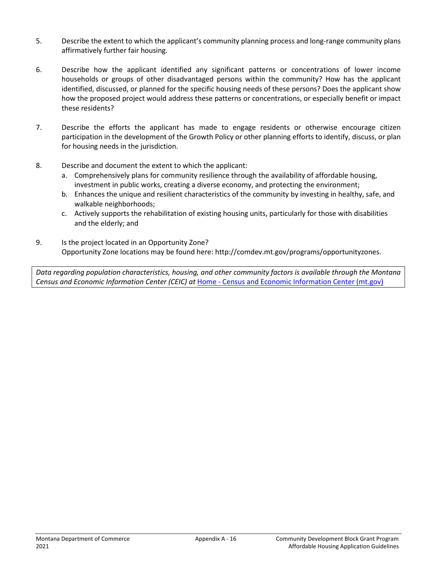- 5. Describe the extent to which the applicant's community planning process and long-range community plans affirmatively further fair housing.
- 6. Describe how the applicant identified any significant patterns or concentrations of lower income households or groups of other disadvantaged persons within the community? How has the applicant identified, discussed, or planned for the specific housing needs of these persons? Does the applicant show how the proposed project would address these patterns or concentrations, or especially benefit or impact these residents?
- 7. Describe the efforts the applicant has made to engage residents or otherwise encourage citizen participation in the development of the Growth Policy or other planning efforts to identify, discuss, or plan for housing needs in the jurisdiction.
- 8. Describe and document the extent to which the applicant:
	- a. Comprehensively plans for community resilience through the availability of affordable housing, investment in public works, creating a diverse economy, and protecting the environment;
	- b. Enhances the unique and resilient characteristics of the community by investing in healthy, safe, and walkable neighborhoods;
	- c. Actively supports the rehabilitation of existing housing units, particularly for those with disabilities and the elderly; and
- 9. Is the project located in an Opportunity Zone? Opportunity Zone locations may be found here: http://comdev.mt.gov/programs/opportunityzones.

*Data regarding population characteristics, housing, and other community factors is available through the Montana Census and Economic Information Center (CEIC) at* Home - [Census and Economic Information Center \(mt.gov\)](https://ceic.mt.gov/)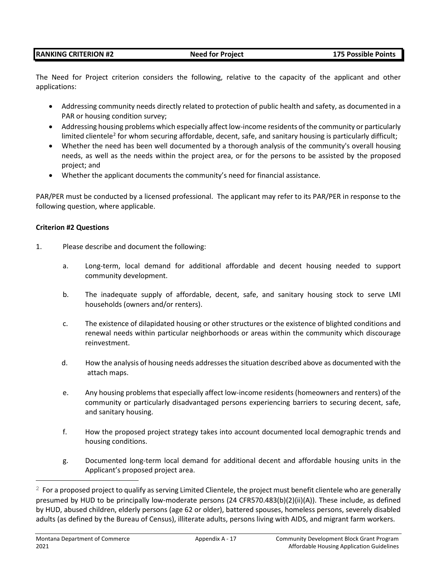The Need for Project criterion considers the following, relative to the capacity of the applicant and other applications:

- Addressing community needs directly related to protection of public health and safety, as documented in a PAR or housing condition survey;
- Addressing housing problems which especially affect low-income residents of the community or particularly limited clientele<sup>[2](#page-16-0)</sup> for whom securing affordable, decent, safe, and sanitary housing is particularly difficult;
- Whether the need has been well documented by a thorough analysis of the community's overall housing needs, as well as the needs within the project area, or for the persons to be assisted by the proposed project; and
- Whether the applicant documents the community's need for financial assistance.

PAR/PER must be conducted by a licensed professional. The applicant may refer to its PAR/PER in response to the following question, where applicable.

#### **Criterion #2 Questions**

- 1. Please describe and document the following:
	- a. Long-term, local demand for additional affordable and decent housing needed to support community development.
	- b. The inadequate supply of affordable, decent, safe, and sanitary housing stock to serve LMI households (owners and/or renters).
	- c. The existence of dilapidated housing or other structures or the existence of blighted conditions and renewal needs within particular neighborhoods or areas within the community which discourage reinvestment.
	- d. How the analysis of housing needs addresses the situation described above as documented with the attach maps.
	- e. Any housing problems that especially affect low-income residents (homeowners and renters) of the community or particularly disadvantaged persons experiencing barriers to securing decent, safe, and sanitary housing.
	- f. How the proposed project strategy takes into account documented local demographic trends and housing conditions.
	- g. Documented long-term local demand for additional decent and affordable housing units in the Applicant's proposed project area.

<span id="page-16-0"></span> $2$  For a proposed project to qualify as serving Limited Clientele, the project must benefit clientele who are generally presumed by HUD to be principally low-moderate persons (24 CFR570.483(b)(2)(ii)(A)). These include, as defined by HUD, abused children, elderly persons (age 62 or older), battered spouses, homeless persons, severely disabled adults (as defined by the Bureau of Census), illiterate adults, persons living with AIDS, and migrant farm workers.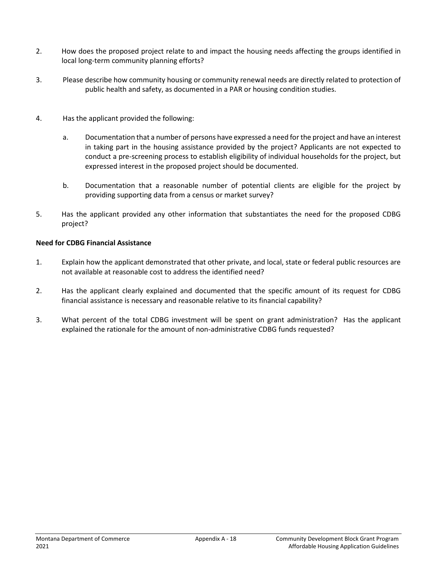- 2. How does the proposed project relate to and impact the housing needs affecting the groups identified in local long-term community planning efforts?
- 3. Please describe how community housing or community renewal needs are directly related to protection of public health and safety, as documented in a PAR or housing condition studies.
- 4. Has the applicant provided the following:
	- a. Documentation that a number of persons have expressed a need for the project and have an interest in taking part in the housing assistance provided by the project? Applicants are not expected to conduct a pre-screening process to establish eligibility of individual households for the project, but expressed interest in the proposed project should be documented.
	- b. Documentation that a reasonable number of potential clients are eligible for the project by providing supporting data from a census or market survey?
- 5. Has the applicant provided any other information that substantiates the need for the proposed CDBG project?

## **Need for CDBG Financial Assistance**

- 1. Explain how the applicant demonstrated that other private, and local, state or federal public resources are not available at reasonable cost to address the identified need?
- 2. Has the applicant clearly explained and documented that the specific amount of its request for CDBG financial assistance is necessary and reasonable relative to its financial capability?
- 3. What percent of the total CDBG investment will be spent on grant administration? Has the applicant explained the rationale for the amount of non-administrative CDBG funds requested?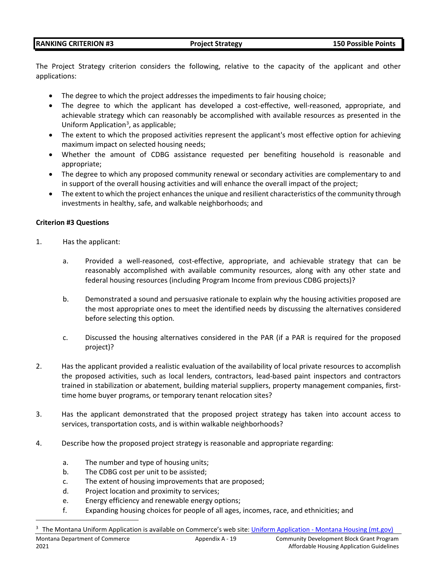#### **RANKING CRITERION #3 Project Strategy 150 Possible Points**

The Project Strategy criterion considers the following, relative to the capacity of the applicant and other applications:

- The degree to which the project addresses the impediments to fair housing choice;
- The degree to which the applicant has developed a cost-effective, well-reasoned, appropriate, and achievable strategy which can reasonably be accomplished with available resources as presented in the Uniform Application<sup>[3](#page-18-0)</sup>, as applicable;
- The extent to which the proposed activities represent the applicant's most effective option for achieving maximum impact on selected housing needs;
- Whether the amount of CDBG assistance requested per benefiting household is reasonable and appropriate;
- The degree to which any proposed community renewal or secondary activities are complementary to and in support of the overall housing activities and will enhance the overall impact of the project;
- The extent to which the project enhances the unique and resilient characteristics of the community through investments in healthy, safe, and walkable neighborhoods; and

#### **Criterion #3 Questions**

- 1. Has the applicant:
	- a. Provided a well-reasoned, cost-effective, appropriate, and achievable strategy that can be reasonably accomplished with available community resources, along with any other state and federal housing resources (including Program Income from previous CDBG projects)?
	- b. Demonstrated a sound and persuasive rationale to explain why the housing activities proposed are the most appropriate ones to meet the identified needs by discussing the alternatives considered before selecting this option.
	- c. Discussed the housing alternatives considered in the PAR (if a PAR is required for the proposed project)?
- 2. Has the applicant provided a realistic evaluation of the availability of local private resources to accomplish the proposed activities, such as local lenders, contractors, lead-based paint inspectors and contractors trained in stabilization or abatement, building material suppliers, property management companies, firsttime home buyer programs, or temporary tenant relocation sites?
- 3. Has the applicant demonstrated that the proposed project strategy has taken into account access to services, transportation costs, and is within walkable neighborhoods?
- 4. Describe how the proposed project strategy is reasonable and appropriate regarding:
	- a. The number and type of housing units;
	- b. The CDBG cost per unit to be assisted;
	- c. The extent of housing improvements that are proposed;
	- d. Project location and proximity to services;
	- e. Energy efficiency and renewable energy options;
	- f. Expanding housing choices for people of all ages, incomes, race, and ethnicities; and

<span id="page-18-0"></span><sup>3</sup> The Montana Uniform Application is available on Commerce's web site: Uniform Application - [Montana Housing \(mt.gov\)](https://housing.mt.gov/Multifamily-Development/Uniform-Application)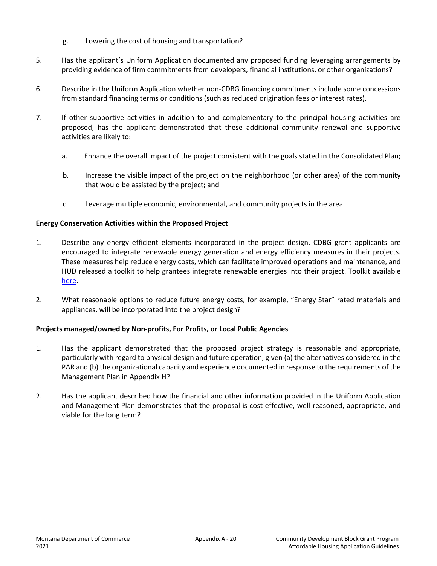- g. Lowering the cost of housing and transportation?
- 5. Has the applicant's Uniform Application documented any proposed funding leveraging arrangements by providing evidence of firm commitments from developers, financial institutions, or other organizations?
- 6. Describe in the Uniform Application whether non-CDBG financing commitments include some concessions from standard financing terms or conditions (such as reduced origination fees or interest rates).
- 7. If other supportive activities in addition to and complementary to the principal housing activities are proposed, has the applicant demonstrated that these additional community renewal and supportive activities are likely to:
	- a. Enhance the overall impact of the project consistent with the goals stated in the Consolidated Plan;
	- b. Increase the visible impact of the project on the neighborhood (or other area) of the community that would be assisted by the project; and
	- c. Leverage multiple economic, environmental, and community projects in the area.

#### **Energy Conservation Activities within the Proposed Project**

- 1. Describe any energy efficient elements incorporated in the project design. CDBG grant applicants are encouraged to integrate renewable energy generation and energy efficiency measures in their projects. These measures help reduce energy costs, which can facilitate improved operations and maintenance, and HUD released a toolkit to help grantees integrate renewable energies into their project. Toolkit available [here.](https://www.hudexchange.info/resource/5115/renewable-energy-toolkit/?utm_source=HUD+Exchange+Mailing+List&utm_campaign=a25c80d2f8-Renewable_Energy_Toolkit&utm_medium=email&utm_term=0_f32b935a5f-a25c80d2f8-18471621)
- 2. What reasonable options to reduce future energy costs, for example, "Energy Star" rated materials and appliances, will be incorporated into the project design?

## **Projects managed/owned by Non-profits, For Profits, or Local Public Agencies**

- 1. Has the applicant demonstrated that the proposed project strategy is reasonable and appropriate, particularly with regard to physical design and future operation, given (a) the alternatives considered in the PAR and (b) the organizational capacity and experience documented in response to the requirements of the Management Plan in Appendix H?
- 2. Has the applicant described how the financial and other information provided in the Uniform Application and Management Plan demonstrates that the proposal is cost effective, well-reasoned, appropriate, and viable for the long term?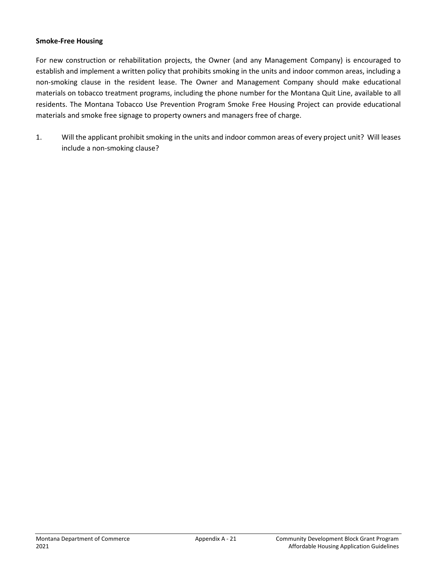#### **Smoke-Free Housing**

For new construction or rehabilitation projects, the Owner (and any Management Company) is encouraged to establish and implement a written policy that prohibits smoking in the units and indoor common areas, including a non-smoking clause in the resident lease. The Owner and Management Company should make educational materials on tobacco treatment programs, including the phone number for the Montana Quit Line, available to all residents. The Montana Tobacco Use Prevention Program Smoke Free Housing Project can provide educational materials and smoke free signage to property owners and managers free of charge.

1. Will the applicant prohibit smoking in the units and indoor common areas of every project unit? Will leases include a non-smoking clause?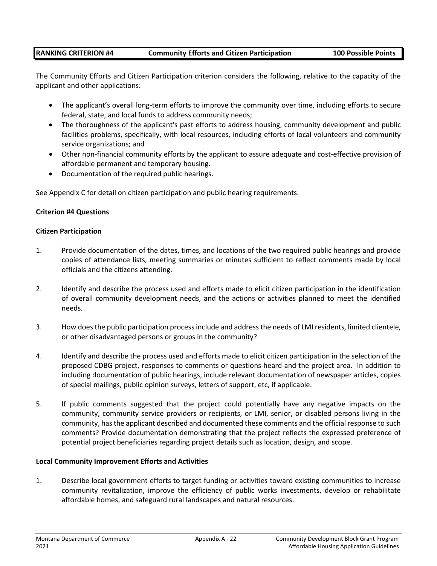## **RANKING CRITERION #4 Community Efforts and Citizen Participation 100 Possible Points**

The Community Efforts and Citizen Participation criterion considers the following, relative to the capacity of the applicant and other applications:

- The applicant's overall long-term efforts to improve the community over time, including efforts to secure federal, state, and local funds to address community needs;
- The thoroughness of the applicant's past efforts to address housing, community development and public facilities problems, specifically, with local resources, including efforts of local volunteers and community service organizations; and
- Other non-financial community efforts by the applicant to assure adequate and cost-effective provision of affordable permanent and temporary housing.
- Documentation of the required public hearings.

See Appendix C for detail on citizen participation and public hearing requirements.

#### **Criterion #4 Questions**

#### **Citizen Participation**

- 1. Provide documentation of the dates, times, and locations of the two required public hearings and provide copies of attendance lists, meeting summaries or minutes sufficient to reflect comments made by local officials and the citizens attending.
- 2. Identify and describe the process used and efforts made to elicit citizen participation in the identification of overall community development needs, and the actions or activities planned to meet the identified needs.
- 3. How does the public participation process include and address the needs of LMI residents, limited clientele, or other disadvantaged persons or groups in the community?
- 4. Identify and describe the process used and efforts made to elicit citizen participation in the selection of the proposed CDBG project, responses to comments or questions heard and the project area. In addition to including documentation of public hearings, include relevant documentation of newspaper articles, copies of special mailings, public opinion surveys, letters of support, etc, if applicable.
- 5. If public comments suggested that the project could potentially have any negative impacts on the community, community service providers or recipients, or LMI, senior, or disabled persons living in the community, has the applicant described and documented these comments and the official response to such comments? Provide documentation demonstrating that the project reflects the expressed preference of potential project beneficiaries regarding project details such as location, design, and scope.

#### **Local Community Improvement Efforts and Activities**

1. Describe local government efforts to target funding or activities toward existing communities to increase community revitalization, improve the efficiency of public works investments, develop or rehabilitate affordable homes, and safeguard rural landscapes and natural resources.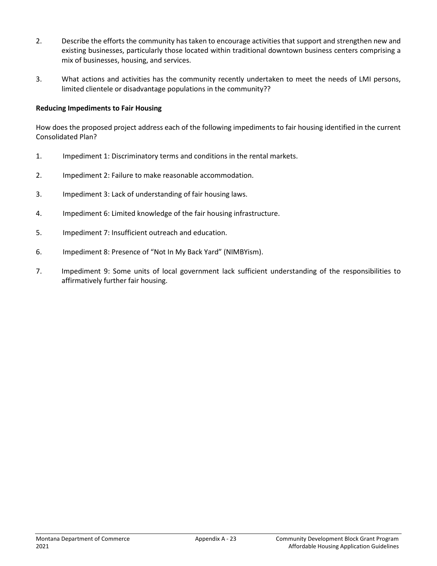- 2. Describe the efforts the community has taken to encourage activities that support and strengthen new and existing businesses, particularly those located within traditional downtown business centers comprising a mix of businesses, housing, and services.
- 3. What actions and activities has the community recently undertaken to meet the needs of LMI persons, limited clientele or disadvantage populations in the community??

#### **Reducing Impediments to Fair Housing**

How does the proposed project address each of the following impediments to fair housing identified in the current Consolidated Plan?

- 1. Impediment 1: Discriminatory terms and conditions in the rental markets.
- 2. Impediment 2: Failure to make reasonable accommodation.
- 3. Impediment 3: Lack of understanding of fair housing laws.
- 4. Impediment 6: Limited knowledge of the fair housing infrastructure.
- 5. Impediment 7: Insufficient outreach and education.
- 6. Impediment 8: Presence of "Not In My Back Yard" (NIMBYism).
- 7. Impediment 9: Some units of local government lack sufficient understanding of the responsibilities to affirmatively further fair housing.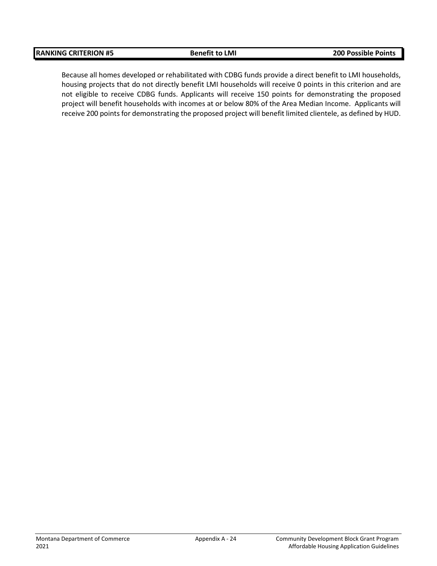Because all homes developed or rehabilitated with CDBG funds provide a direct benefit to LMI households, housing projects that do not directly benefit LMI households will receive 0 points in this criterion and are not eligible to receive CDBG funds. Applicants will receive 150 points for demonstrating the proposed project will benefit households with incomes at or below 80% of the Area Median Income. Applicants will receive 200 points for demonstrating the proposed project will benefit limited clientele, as defined by HUD.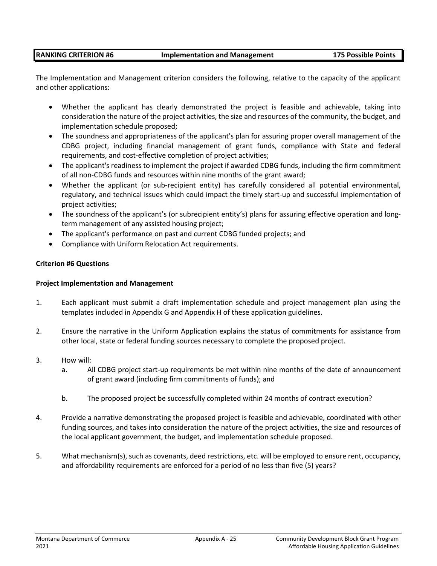#### **RANKING CRITERION #6 Implementation and Management 175 Possible Points**

The Implementation and Management criterion considers the following, relative to the capacity of the applicant and other applications:

- Whether the applicant has clearly demonstrated the project is feasible and achievable, taking into consideration the nature of the project activities, the size and resources of the community, the budget, and implementation schedule proposed;
- The soundness and appropriateness of the applicant's plan for assuring proper overall management of the CDBG project, including financial management of grant funds, compliance with State and federal requirements, and cost-effective completion of project activities;
- The applicant's readiness to implement the project if awarded CDBG funds, including the firm commitment of all non-CDBG funds and resources within nine months of the grant award;
- Whether the applicant (or sub-recipient entity) has carefully considered all potential environmental, regulatory, and technical issues which could impact the timely start-up and successful implementation of project activities;
- The soundness of the applicant's (or subrecipient entity's) plans for assuring effective operation and longterm management of any assisted housing project;
- The applicant's performance on past and current CDBG funded projects; and
- Compliance with Uniform Relocation Act requirements.

#### **Criterion #6 Questions**

#### **Project Implementation and Management**

- 1. Each applicant must submit a draft implementation schedule and project management plan using the templates included in Appendix G and Appendix H of these application guidelines.
- 2. Ensure the narrative in the Uniform Application explains the status of commitments for assistance from other local, state or federal funding sources necessary to complete the proposed project.
- 3. How will:
	- a. All CDBG project start-up requirements be met within nine months of the date of announcement of grant award (including firm commitments of funds); and
	- b. The proposed project be successfully completed within 24 months of contract execution?
- 4. Provide a narrative demonstrating the proposed project is feasible and achievable, coordinated with other funding sources, and takes into consideration the nature of the project activities, the size and resources of the local applicant government, the budget, and implementation schedule proposed.
- 5. What mechanism(s), such as covenants, deed restrictions, etc. will be employed to ensure rent, occupancy, and affordability requirements are enforced for a period of no less than five (5) years?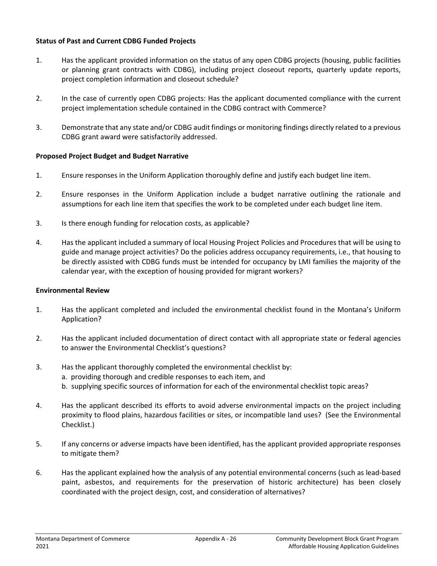#### **Status of Past and Current CDBG Funded Projects**

- 1. Has the applicant provided information on the status of any open CDBG projects (housing, public facilities or planning grant contracts with CDBG), including project closeout reports, quarterly update reports, project completion information and closeout schedule?
- 2. In the case of currently open CDBG projects: Has the applicant documented compliance with the current project implementation schedule contained in the CDBG contract with Commerce?
- 3. Demonstrate that any state and/or CDBG audit findings or monitoring findings directly related to a previous CDBG grant award were satisfactorily addressed.

#### **Proposed Project Budget and Budget Narrative**

- 1. Ensure responses in the Uniform Application thoroughly define and justify each budget line item.
- 2. Ensure responses in the Uniform Application include a budget narrative outlining the rationale and assumptions for each line item that specifies the work to be completed under each budget line item.
- 3. Is there enough funding for relocation costs, as applicable?
- 4. Has the applicant included a summary of local Housing Project Policies and Procedures that will be using to guide and manage project activities? Do the policies address occupancy requirements, i.e., that housing to be directly assisted with CDBG funds must be intended for occupancy by LMI families the majority of the calendar year, with the exception of housing provided for migrant workers?

#### **Environmental Review**

- 1. Has the applicant completed and included the environmental checklist found in the Montana's Uniform Application?
- 2. Has the applicant included documentation of direct contact with all appropriate state or federal agencies to answer the Environmental Checklist's questions?
- 3. Has the applicant thoroughly completed the environmental checklist by: a. providing thorough and credible responses to each item, and b. supplying specific sources of information for each of the environmental checklist topic areas?
- 4. Has the applicant described its efforts to avoid adverse environmental impacts on the project including proximity to flood plains, hazardous facilities or sites, or incompatible land uses? (See the Environmental Checklist.)
- 5. If any concerns or adverse impacts have been identified, has the applicant provided appropriate responses to mitigate them?
- 6. Has the applicant explained how the analysis of any potential environmental concerns (such as lead-based paint, asbestos, and requirements for the preservation of historic architecture) has been closely coordinated with the project design, cost, and consideration of alternatives?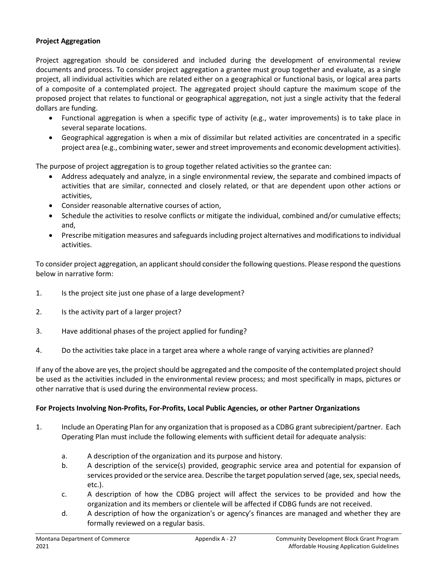### **Project Aggregation**

Project aggregation should be considered and included during the development of environmental review documents and process. To consider project aggregation a grantee must group together and evaluate, as a single project, all individual activities which are related either on a geographical or functional basis, or logical area parts of a composite of a contemplated project. The aggregated project should capture the maximum scope of the proposed project that relates to functional or geographical aggregation, not just a single activity that the federal dollars are funding.

- Functional aggregation is when a specific type of activity (e.g., water improvements) is to take place in several separate locations.
- Geographical aggregation is when a mix of dissimilar but related activities are concentrated in a specific project area (e.g., combining water, sewer and street improvements and economic development activities).

The purpose of project aggregation is to group together related activities so the grantee can:

- Address adequately and analyze, in a single environmental review, the separate and combined impacts of activities that are similar, connected and closely related, or that are dependent upon other actions or activities,
- Consider reasonable alternative courses of action,
- Schedule the activities to resolve conflicts or mitigate the individual, combined and/or cumulative effects; and,
- Prescribe mitigation measures and safeguards including project alternatives and modifications to individual activities.

To consider project aggregation, an applicant should consider the following questions. Please respond the questions below in narrative form:

- 1. Is the project site just one phase of a large development?
- 2. Is the activity part of a larger project?
- 3. Have additional phases of the project applied for funding?
- 4. Do the activities take place in a target area where a whole range of varying activities are planned?

If any of the above are yes, the project should be aggregated and the composite of the contemplated project should be used as the activities included in the environmental review process; and most specifically in maps, pictures or other narrative that is used during the environmental review process.

#### **For Projects Involving Non-Profits, For-Profits, Local Public Agencies, or other Partner Organizations**

- 1. Include an Operating Plan for any organization that is proposed as a CDBG grant subrecipient/partner. Each Operating Plan must include the following elements with sufficient detail for adequate analysis:
	- a. A description of the organization and its purpose and history.
	- b. A description of the service(s) provided, geographic service area and potential for expansion of services provided or the service area. Describe the target population served (age, sex, special needs, etc.).
	- c. A description of how the CDBG project will affect the services to be provided and how the organization and its members or clientele will be affected if CDBG funds are not received.
	- d. A description of how the organization's or agency's finances are managed and whether they are formally reviewed on a regular basis.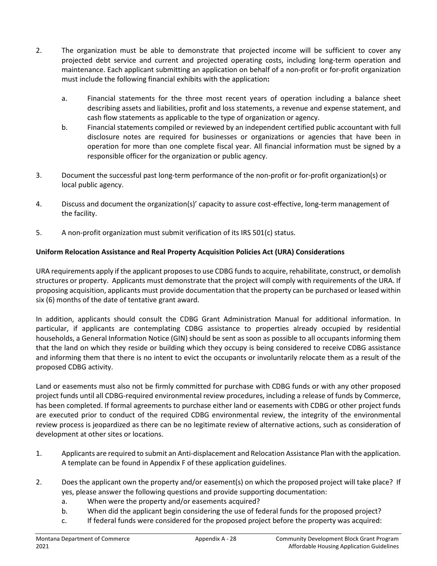- 2. The organization must be able to demonstrate that projected income will be sufficient to cover any projected debt service and current and projected operating costs, including long-term operation and maintenance. Each applicant submitting an application on behalf of a non-profit or for-profit organization must include the following financial exhibits with the application**:**
	- a. Financial statements for the three most recent years of operation including a balance sheet describing assets and liabilities, profit and loss statements, a revenue and expense statement, and cash flow statements as applicable to the type of organization or agency.
	- b. Financial statements compiled or reviewed by an independent certified public accountant with full disclosure notes are required for businesses or organizations or agencies that have been in operation for more than one complete fiscal year. All financial information must be signed by a responsible officer for the organization or public agency.
- 3. Document the successful past long-term performance of the non-profit or for-profit organization(s) or local public agency.
- 4. Discuss and document the organization(s)' capacity to assure cost-effective, long-term management of the facility.
- 5. A non-profit organization must submit verification of its IRS 501(c) status.

## **Uniform Relocation Assistance and Real Property Acquisition Policies Act (URA) Considerations**

URA requirements apply if the applicant proposes to use CDBG funds to acquire, rehabilitate, construct, or demolish structures or property. Applicants must demonstrate that the project will comply with requirements of the URA. If proposing acquisition, applicants must provide documentation that the property can be purchased or leased within six (6) months of the date of tentative grant award.

In addition, applicants should consult the CDBG Grant Administration Manual for additional information. In particular, if applicants are contemplating CDBG assistance to properties already occupied by residential households, a General Information Notice (GIN) should be sent as soon as possible to all occupants informing them that the land on which they reside or building which they occupy is being considered to receive CDBG assistance and informing them that there is no intent to evict the occupants or involuntarily relocate them as a result of the proposed CDBG activity.

Land or easements must also not be firmly committed for purchase with CDBG funds or with any other proposed project funds until all CDBG-required environmental review procedures, including a release of funds by Commerce, has been completed. If formal agreements to purchase either land or easements with CDBG or other project funds are executed prior to conduct of the required CDBG environmental review, the integrity of the environmental review process is jeopardized as there can be no legitimate review of alternative actions, such as consideration of development at other sites or locations.

- 1. Applicants are required to submit an Anti-displacement and Relocation Assistance Plan with the application. A template can be found in Appendix F of these application guidelines.
- 2. Does the applicant own the property and/or easement(s) on which the proposed project will take place? If yes, please answer the following questions and provide supporting documentation:
	- a. When were the property and/or easements acquired?
	- b. When did the applicant begin considering the use of federal funds for the proposed project?
	- c. If federal funds were considered for the proposed project before the property was acquired: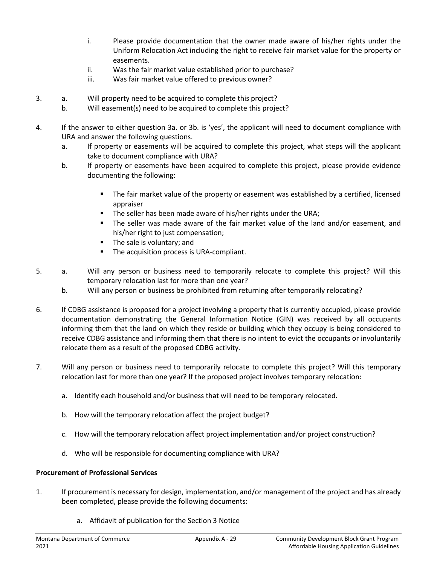- i. Please provide documentation that the owner made aware of his/her rights under the Uniform Relocation Act including the right to receive fair market value for the property or easements.
- ii. Was the fair market value established prior to purchase?
- iii. Was fair market value offered to previous owner?
- 3. a. Will property need to be acquired to complete this project?
	- b. Will easement(s) need to be acquired to complete this project?
- 4. If the answer to either question 3a. or 3b. is 'yes', the applicant will need to document compliance with URA and answer the following questions.
	- a. If property or easements will be acquired to complete this project, what steps will the applicant take to document compliance with URA?
	- b. If property or easements have been acquired to complete this project, please provide evidence documenting the following:
		- The fair market value of the property or easement was established by a certified, licensed appraiser
		- **The seller has been made aware of his/her rights under the URA;**
		- The seller was made aware of the fair market value of the land and/or easement, and his/her right to just compensation;
		- **The sale is voluntary; and**
		- **The acquisition process is URA-compliant.**
- 5. a. Will any person or business need to temporarily relocate to complete this project? Will this temporary relocation last for more than one year?
	- b. Will any person or business be prohibited from returning after temporarily relocating?
- 6. If CDBG assistance is proposed for a project involving a property that is currently occupied, please provide documentation demonstrating the General Information Notice (GIN) was received by all occupants informing them that the land on which they reside or building which they occupy is being considered to receive CDBG assistance and informing them that there is no intent to evict the occupants or involuntarily relocate them as a result of the proposed CDBG activity.
- 7. Will any person or business need to temporarily relocate to complete this project? Will this temporary relocation last for more than one year? If the proposed project involves temporary relocation:
	- a. Identify each household and/or business that will need to be temporary relocated.
	- b. How will the temporary relocation affect the project budget?
	- c. How will the temporary relocation affect project implementation and/or project construction?
	- d. Who will be responsible for documenting compliance with URA?

## **Procurement of Professional Services**

- 1. If procurement is necessary for design, implementation, and/or management of the project and has already been completed, please provide the following documents:
	- a. Affidavit of publication for the Section 3 Notice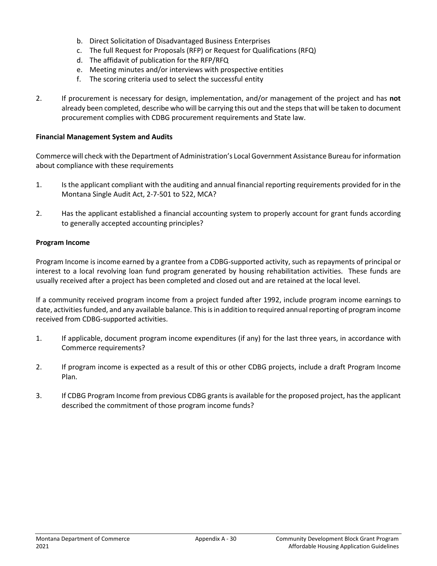- b. Direct Solicitation of Disadvantaged Business Enterprises
- c. The full Request for Proposals (RFP) or Request for Qualifications (RFQ)
- d. The affidavit of publication for the RFP/RFQ
- e. Meeting minutes and/or interviews with prospective entities
- f. The scoring criteria used to select the successful entity
- 2. If procurement is necessary for design, implementation, and/or management of the project and has **not** already been completed, describe who will be carrying this out and the steps that will be taken to document procurement complies with CDBG procurement requirements and State law.

#### **Financial Management System and Audits**

Commerce will check with the Department of Administration's Local Government Assistance Bureau for information about compliance with these requirements

- 1. Is the applicant compliant with the auditing and annual financial reporting requirements provided for in the Montana Single Audit Act, 2-7-501 to 522, MCA?
- 2. Has the applicant established a financial accounting system to properly account for grant funds according to generally accepted accounting principles?

#### **Program Income**

Program Income is income earned by a grantee from a CDBG-supported activity, such as repayments of principal or interest to a local revolving loan fund program generated by housing rehabilitation activities. These funds are usually received after a project has been completed and closed out and are retained at the local level.

If a community received program income from a project funded after 1992, include program income earnings to date, activities funded, and any available balance. This is in addition to required annual reporting of program income received from CDBG-supported activities.

- 1. If applicable, document program income expenditures (if any) for the last three years, in accordance with Commerce requirements?
- 2. If program income is expected as a result of this or other CDBG projects, include a draft Program Income Plan.
- 3. If CDBG Program Income from previous CDBG grants is available for the proposed project, has the applicant described the commitment of those program income funds?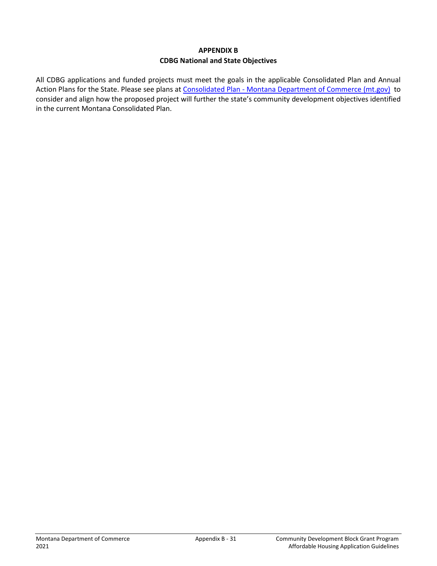## **APPENDIX B CDBG National and State Objectives**

All CDBG applications and funded projects must meet the goals in the applicable Consolidated Plan and Annual Action Plans for the State. Please see plans at Consolidated Plan - [Montana Department of Commerce \(mt.gov\)](https://commerce.mt.gov/Consolidated-Plan/) to consider and align how the proposed project will further the state's community development objectives identified in the current Montana Consolidated Plan.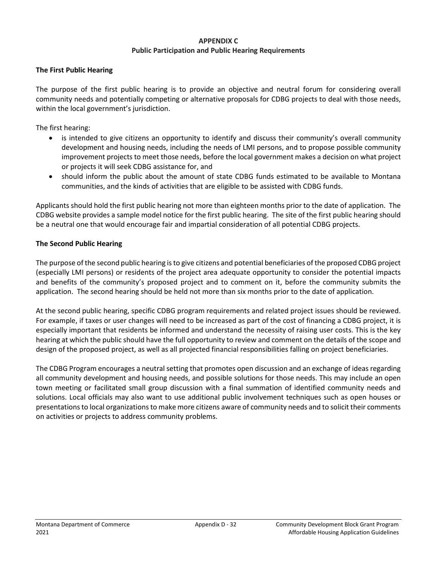## **APPENDIX C Public Participation and Public Hearing Requirements**

## **The First Public Hearing**

The purpose of the first public hearing is to provide an objective and neutral forum for considering overall community needs and potentially competing or alternative proposals for CDBG projects to deal with those needs, within the local government's jurisdiction.

The first hearing:

- is intended to give citizens an opportunity to identify and discuss their community's overall community development and housing needs, including the needs of LMI persons, and to propose possible community improvement projects to meet those needs, before the local government makes a decision on what project or projects it will seek CDBG assistance for, and
- should inform the public about the amount of state CDBG funds estimated to be available to Montana communities, and the kinds of activities that are eligible to be assisted with CDBG funds.

Applicants should hold the first public hearing not more than eighteen months prior to the date of application. The CDBG website provides a sample model notice for the first public hearing. The site of the first public hearing should be a neutral one that would encourage fair and impartial consideration of all potential CDBG projects.

## **The Second Public Hearing**

The purpose of the second public hearing is to give citizens and potential beneficiaries of the proposed CDBG project (especially LMI persons) or residents of the project area adequate opportunity to consider the potential impacts and benefits of the community's proposed project and to comment on it, before the community submits the application. The second hearing should be held not more than six months prior to the date of application.

At the second public hearing, specific CDBG program requirements and related project issues should be reviewed. For example, if taxes or user changes will need to be increased as part of the cost of financing a CDBG project, it is especially important that residents be informed and understand the necessity of raising user costs. This is the key hearing at which the public should have the full opportunity to review and comment on the details of the scope and design of the proposed project, as well as all projected financial responsibilities falling on project beneficiaries.

The CDBG Program encourages a neutral setting that promotes open discussion and an exchange of ideas regarding all community development and housing needs, and possible solutions for those needs. This may include an open town meeting or facilitated small group discussion with a final summation of identified community needs and solutions. Local officials may also want to use additional public involvement techniques such as open houses or presentations to local organizations to make more citizens aware of community needs and to solicit their comments on activities or projects to address community problems.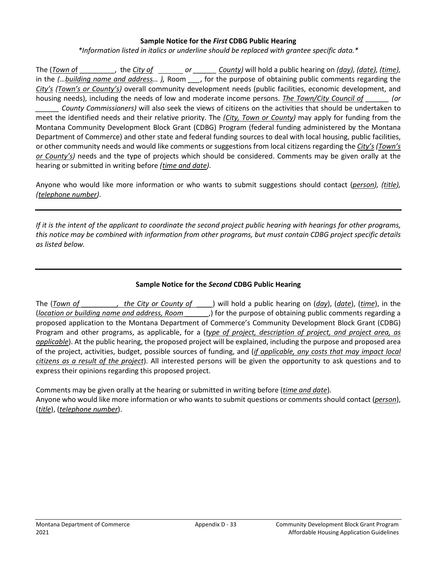#### **Sample Notice for the** *First* **CDBG Public Hearing**

*\*Information listed in italics or underline should be replaced with grantee specific data.\** 

The (*Town of* \_\_\_\_\_\_\_, the *City of* \_\_\_\_\_\_ or \_\_\_\_\_ *County*) will hold a public hearing on *(day), (date), (time),* in the *(…building name and address… ),* Room *\_\_\_*, for the purpose of obtaining public comments regarding the *City's (Town's or County's)* overall community development needs (public facilities, economic development, and housing needs), including the needs of low and moderate income persons. *The Town/City Council of \_\_\_\_\_\_ (or \_\_\_\_\_\_ County Commissioners)* will also seek the views of citizens on the activities that should be undertaken to meet the identified needs and their relative priority. The *(City, Town or County)* may apply for funding from the Montana Community Development Block Grant (CDBG) Program (federal funding administered by the Montana Department of Commerce) and other state and federal funding sources to deal with local housing, public facilities, or other community needs and would like comments or suggestions from local citizens regarding the *City's (Town's or County's)* needs and the type of projects which should be considered. Comments may be given orally at the hearing or submitted in writing before *(time and date)*.

Anyone who would like more information or who wants to submit suggestions should contact (*person), (title), (telephone number)*.

*If it is the intent of the applicant to coordinate the second project public hearing with hearings for other programs, this notice may be combined with information from other programs, but must contain CDBG project specific details as listed below.* 

## **Sample Notice for the** *Second* **CDBG Public Hearing**

The (*Town of \_\_\_\_\_\_\_\_\_, the City or County of \_\_\_\_*) will hold a public hearing on (*day*), (*date*), (*time*), in the (*location or building name and address, Room \_\_\_\_\_\_*,) for the purpose of obtaining public comments regarding a proposed application to the Montana Department of Commerce's Community Development Block Grant (CDBG) Program and other programs, as applicable, for a (*type of project, description of project, and project area, as applicable*). At the public hearing, the proposed project will be explained, including the purpose and proposed area of the project, activities, budget, possible sources of funding, and (*if applicable, any costs that may impact local citizens as a result of the project*). All interested persons will be given the opportunity to ask questions and to express their opinions regarding this proposed project.

Comments may be given orally at the hearing or submitted in writing before (*time and date*). Anyone who would like more information or who wants to submit questions or comments should contact (*person*), (*title*), (*telephone number*).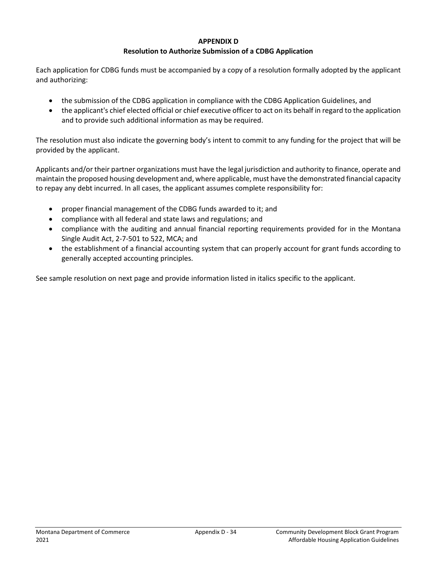#### **APPENDIX D**

## **Resolution to Authorize Submission of a CDBG Application**

Each application for CDBG funds must be accompanied by a copy of a resolution formally adopted by the applicant and authorizing:

- the submission of the CDBG application in compliance with the CDBG Application Guidelines, and
- the applicant's chief elected official or chief executive officer to act on its behalf in regard to the application and to provide such additional information as may be required.

The resolution must also indicate the governing body's intent to commit to any funding for the project that will be provided by the applicant.

Applicants and/or their partner organizations must have the legal jurisdiction and authority to finance, operate and maintain the proposed housing development and, where applicable, must have the demonstrated financial capacity to repay any debt incurred. In all cases, the applicant assumes complete responsibility for:

- proper financial management of the CDBG funds awarded to it; and
- compliance with all federal and state laws and regulations; and
- compliance with the auditing and annual financial reporting requirements provided for in the Montana Single Audit Act, 2-7-501 to 522, MCA; and
- the establishment of a financial accounting system that can properly account for grant funds according to generally accepted accounting principles.

See sample resolution on next page and provide information listed in italics specific to the applicant.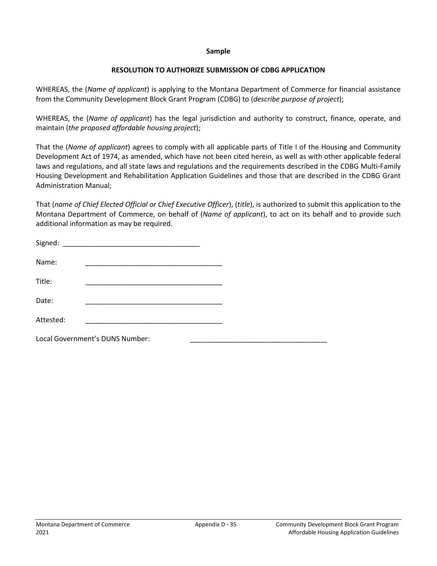#### **Sample**

### **RESOLUTION TO AUTHORIZE SUBMISSION OF CDBG APPLICATION**

WHEREAS, the (*Name of applicant*) is applying to the Montana Department of Commerce for financial assistance from the Community Development Block Grant Program (CDBG) to (*describe purpose of project*);

WHEREAS, the (*Name of applicant*) has the legal jurisdiction and authority to construct, finance, operate, and maintain (*the proposed affordable housing project*);

That the (*Name of applicant*) agrees to comply with all applicable parts of Title I of the Housing and Community Development Act of 1974, as amended, which have not been cited herein, as well as with other applicable federal laws and regulations, and all state laws and regulations and the requirements described in the CDBG Multi-Family Housing Development and Rehabilitation Application Guidelines and those that are described in the CDBG Grant Administration Manual;

That (*name of Chief Elected Official or Chief Executive Officer*), (*title*), is authorized to submit this application to the Montana Department of Commerce, on behalf of (*Name of applicant*), to act on its behalf and to provide such additional information as may be required.

| Signed:   |                                 |  |
|-----------|---------------------------------|--|
| Name:     |                                 |  |
| Title:    |                                 |  |
| Date:     |                                 |  |
| Attested: |                                 |  |
|           | Local Government's DUNS Number: |  |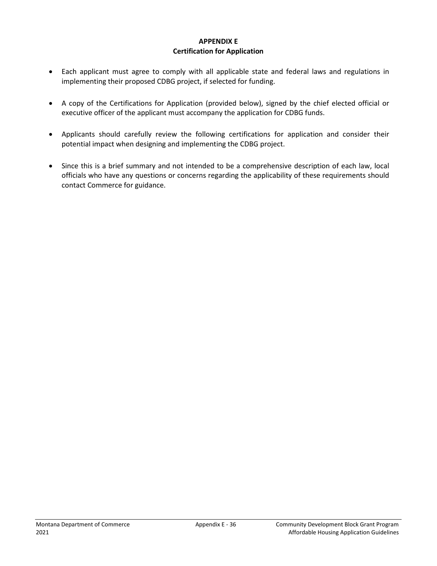## **APPENDIX E Certification for Application**

- Each applicant must agree to comply with all applicable state and federal laws and regulations in implementing their proposed CDBG project, if selected for funding.
- A copy of the Certifications for Application (provided below), signed by the chief elected official or executive officer of the applicant must accompany the application for CDBG funds.
- Applicants should carefully review the following certifications for application and consider their potential impact when designing and implementing the CDBG project.
- Since this is a brief summary and not intended to be a comprehensive description of each law, local officials who have any questions or concerns regarding the applicability of these requirements should contact Commerce for guidance.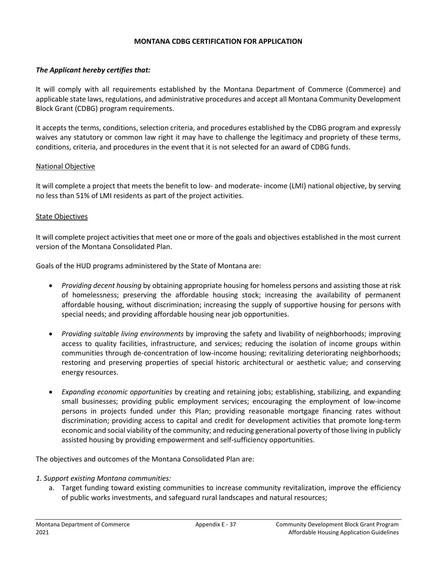#### **MONTANA CDBG CERTIFICATION FOR APPLICATION**

#### *The Applicant hereby certifies that:*

It will comply with all requirements established by the Montana Department of Commerce (Commerce) and applicable state laws, regulations, and administrative procedures and accept all Montana Community Development Block Grant (CDBG) program requirements.

It accepts the terms, conditions, selection criteria, and procedures established by the CDBG program and expressly waives any statutory or common law right it may have to challenge the legitimacy and propriety of these terms, conditions, criteria, and procedures in the event that it is not selected for an award of CDBG funds.

#### National Objective

It will complete a project that meets the benefit to low- and moderate- income (LMI) national objective, by serving no less than 51% of LMI residents as part of the project activities.

#### State Objectives

It will complete project activities that meet one or more of the goals and objectives established in the most current version of the Montana Consolidated Plan.

Goals of the HUD programs administered by the State of Montana are:

- *Providing decent housing* by obtaining appropriate housing for homeless persons and assisting those at risk of homelessness; preserving the affordable housing stock; increasing the availability of permanent affordable housing, without discrimination; increasing the supply of supportive housing for persons with special needs; and providing affordable housing near job opportunities.
- *Providing suitable living environments* by improving the safety and livability of neighborhoods; improving access to quality facilities, infrastructure, and services; reducing the isolation of income groups within communities through de-concentration of low-income housing; revitalizing deteriorating neighborhoods; restoring and preserving properties of special historic architectural or aesthetic value; and conserving energy resources.
- *Expanding economic opportunities* by creating and retaining jobs; establishing, stabilizing, and expanding small businesses; providing public employment services; encouraging the employment of low-income persons in projects funded under this Plan; providing reasonable mortgage financing rates without discrimination; providing access to capital and credit for development activities that promote long-term economic and social viability of the community; and reducing generational poverty of those living in publicly assisted housing by providing empowerment and self-sufficiency opportunities.

The objectives and outcomes of the Montana Consolidated Plan are:

- *1. Support existing Montana communities:* 
	- a. Target funding toward existing communities to increase community revitalization, improve the efficiency of public works investments, and safeguard rural landscapes and natural resources;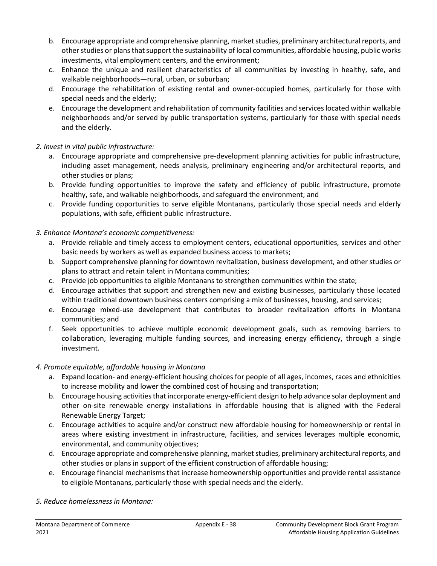- b. Encourage appropriate and comprehensive planning, market studies, preliminary architectural reports, and other studies or plans that support the sustainability of local communities, affordable housing, public works investments, vital employment centers, and the environment;
- c. Enhance the unique and resilient characteristics of all communities by investing in healthy, safe, and walkable neighborhoods—rural, urban, or suburban;
- d. Encourage the rehabilitation of existing rental and owner-occupied homes, particularly for those with special needs and the elderly;
- e. Encourage the development and rehabilitation of community facilities and services located within walkable neighborhoods and/or served by public transportation systems, particularly for those with special needs and the elderly.

## *2. Invest in vital public infrastructure:*

- a. Encourage appropriate and comprehensive pre-development planning activities for public infrastructure, including asset management, needs analysis, preliminary engineering and/or architectural reports, and other studies or plans;
- b. Provide funding opportunities to improve the safety and efficiency of public infrastructure, promote healthy, safe, and walkable neighborhoods, and safeguard the environment; and
- c. Provide funding opportunities to serve eligible Montanans, particularly those special needs and elderly populations, with safe, efficient public infrastructure.

## *3. Enhance Montana's economic competitiveness:*

- a. Provide reliable and timely access to employment centers, educational opportunities, services and other basic needs by workers as well as expanded business access to markets;
- b. Support comprehensive planning for downtown revitalization, business development, and other studies or plans to attract and retain talent in Montana communities;
- c. Provide job opportunities to eligible Montanans to strengthen communities within the state;
- d. Encourage activities that support and strengthen new and existing businesses, particularly those located within traditional downtown business centers comprising a mix of businesses, housing, and services;
- e. Encourage mixed-use development that contributes to broader revitalization efforts in Montana communities; and
- f. Seek opportunities to achieve multiple economic development goals, such as removing barriers to collaboration, leveraging multiple funding sources, and increasing energy efficiency, through a single investment.

## *4. Promote equitable, affordable housing in Montana*

- a. Expand location- and energy-efficient housing choices for people of all ages, incomes, races and ethnicities to increase mobility and lower the combined cost of housing and transportation;
- b. Encourage housing activities that incorporate energy-efficient design to help advance solar deployment and other on-site renewable energy installations in affordable housing that is aligned with the Federal Renewable Energy Target;
- c. Encourage activities to acquire and/or construct new affordable housing for homeownership or rental in areas where existing investment in infrastructure, facilities, and services leverages multiple economic, environmental, and community objectives;
- d. Encourage appropriate and comprehensive planning, market studies, preliminary architectural reports, and other studies or plans in support of the efficient construction of affordable housing;
- e. Encourage financial mechanisms that increase homeownership opportunities and provide rental assistance to eligible Montanans, particularly those with special needs and the elderly.

## *5. Reduce homelessness in Montana:*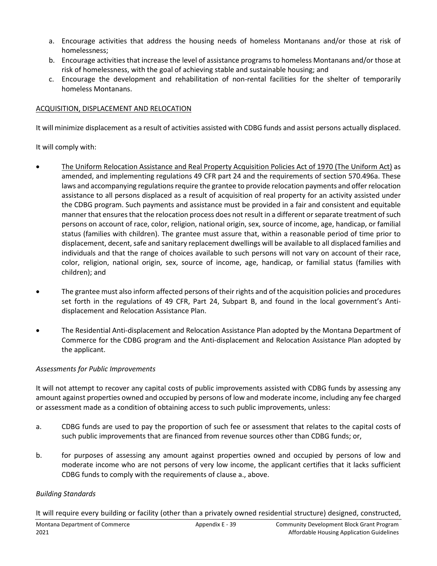- a. Encourage activities that address the housing needs of homeless Montanans and/or those at risk of homelessness;
- b. Encourage activities that increase the level of assistance programs to homeless Montanans and/or those at risk of homelessness, with the goal of achieving stable and sustainable housing; and
- c. Encourage the development and rehabilitation of non-rental facilities for the shelter of temporarily homeless Montanans.

## ACQUISITION, DISPLACEMENT AND RELOCATION

It will minimize displacement as a result of activities assisted with CDBG funds and assist persons actually displaced.

It will comply with:

- The Uniform Relocation Assistance and Real Property Acquisition Policies Act of 1970 (The Uniform Act) as amended, and implementing regulations 49 CFR part 24 and the requirements of section 570.496a. These laws and accompanying regulations require the grantee to provide relocation payments and offer relocation assistance to all persons displaced as a result of acquisition of real property for an activity assisted under the CDBG program. Such payments and assistance must be provided in a fair and consistent and equitable manner that ensures that the relocation process does not result in a different or separate treatment of such persons on account of race, color, religion, national origin, sex, source of income, age, handicap, or familial status (families with children). The grantee must assure that, within a reasonable period of time prior to displacement, decent, safe and sanitary replacement dwellings will be available to all displaced families and individuals and that the range of choices available to such persons will not vary on account of their race, color, religion, national origin, sex, source of income, age, handicap, or familial status (families with children); and
- The grantee must also inform affected persons of their rights and of the acquisition policies and procedures set forth in the regulations of 49 CFR, Part 24, Subpart B, and found in the local government's Antidisplacement and Relocation Assistance Plan.
- The Residential Anti-displacement and Relocation Assistance Plan adopted by the Montana Department of Commerce for the CDBG program and the Anti-displacement and Relocation Assistance Plan adopted by the applicant.

## *Assessments for Public Improvements*

It will not attempt to recover any capital costs of public improvements assisted with CDBG funds by assessing any amount against properties owned and occupied by persons of low and moderate income, including any fee charged or assessment made as a condition of obtaining access to such public improvements, unless:

- a. CDBG funds are used to pay the proportion of such fee or assessment that relates to the capital costs of such public improvements that are financed from revenue sources other than CDBG funds; or,
- b. for purposes of assessing any amount against properties owned and occupied by persons of low and moderate income who are not persons of very low income, the applicant certifies that it lacks sufficient CDBG funds to comply with the requirements of clause a., above.

## *Building Standards*

It will require every building or facility (other than a privately owned residential structure) designed, constructed,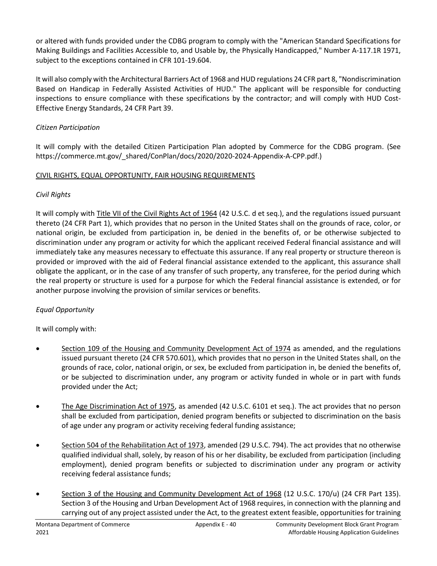or altered with funds provided under the CDBG program to comply with the "American Standard Specifications for Making Buildings and Facilities Accessible to, and Usable by, the Physically Handicapped," Number A-117.1R 1971, subject to the exceptions contained in CFR 101-19.604.

It will also comply with the Architectural Barriers Act of 1968 and HUD regulations 24 CFR part 8, "Nondiscrimination Based on Handicap in Federally Assisted Activities of HUD." The applicant will be responsible for conducting inspections to ensure compliance with these specifications by the contractor; and will comply with HUD Cost-Effective Energy Standards, 24 CFR Part 39.

## *Citizen Participation*

It will comply with the detailed Citizen Participation Plan adopted by Commerce for the CDBG program. (See https://commerce.mt.gov/\_shared/ConPlan/docs/2020/2020-2024-Appendix-A-CPP.pdf.)

# CIVIL RIGHTS, EQUAL OPPORTUNITY, FAIR HOUSING REQUIREMENTS

# *Civil Rights*

It will comply with Title VII of the Civil Rights Act of 1964 (42 U.S.C. d et seq.), and the regulations issued pursuant thereto (24 CFR Part 1), which provides that no person in the United States shall on the grounds of race, color, or national origin, be excluded from participation in, be denied in the benefits of, or be otherwise subjected to discrimination under any program or activity for which the applicant received Federal financial assistance and will immediately take any measures necessary to effectuate this assurance. If any real property or structure thereon is provided or improved with the aid of Federal financial assistance extended to the applicant, this assurance shall obligate the applicant, or in the case of any transfer of such property, any transferee, for the period during which the real property or structure is used for a purpose for which the Federal financial assistance is extended, or for another purpose involving the provision of similar services or benefits.

# *Equal Opportunity*

It will comply with:

- Section 109 of the Housing and Community Development Act of 1974 as amended, and the regulations issued pursuant thereto (24 CFR 570.601), which provides that no person in the United States shall, on the grounds of race, color, national origin, or sex, be excluded from participation in, be denied the benefits of, or be subjected to discrimination under, any program or activity funded in whole or in part with funds provided under the Act;
- The Age Discrimination Act of 1975, as amended (42 U.S.C. 6101 et seq.). The act provides that no person shall be excluded from participation, denied program benefits or subjected to discrimination on the basis of age under any program or activity receiving federal funding assistance;
- Section 504 of the Rehabilitation Act of 1973, amended (29 U.S.C. 794). The act provides that no otherwise qualified individual shall, solely, by reason of his or her disability, be excluded from participation (including employment), denied program benefits or subjected to discrimination under any program or activity receiving federal assistance funds;
- Section 3 of the Housing and Community Development Act of 1968 (12 U.S.C. 170/u) (24 CFR Part 135). Section 3 of the Housing and Urban Development Act of 1968 requires, in connection with the planning and carrying out of any project assisted under the Act, to the greatest extent feasible, opportunities for training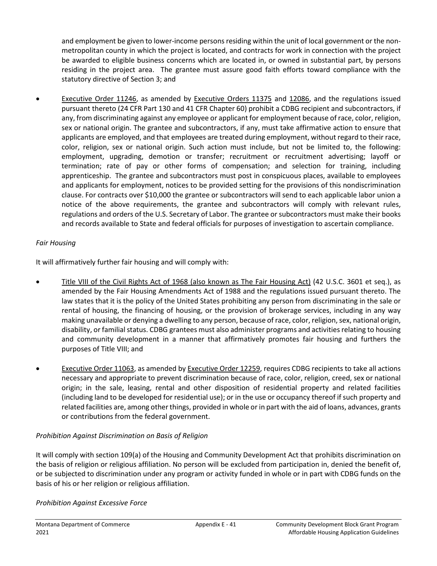and employment be given to lower-income persons residing within the unit of local government or the nonmetropolitan county in which the project is located, and contracts for work in connection with the project be awarded to eligible business concerns which are located in, or owned in substantial part, by persons residing in the project area. The grantee must assure good faith efforts toward compliance with the statutory directive of Section 3; and

• Executive Order 11246, as amended by Executive Orders 11375 and 12086, and the regulations issued pursuant thereto (24 CFR Part 130 and 41 CFR Chapter 60) prohibit a CDBG recipient and subcontractors, if any, from discriminating against any employee or applicant for employment because of race, color, religion, sex or national origin. The grantee and subcontractors, if any, must take affirmative action to ensure that applicants are employed, and that employees are treated during employment, without regard to their race, color, religion, sex or national origin. Such action must include, but not be limited to, the following: employment, upgrading, demotion or transfer; recruitment or recruitment advertising; layoff or termination; rate of pay or other forms of compensation; and selection for training, including apprenticeship. The grantee and subcontractors must post in conspicuous places, available to employees and applicants for employment, notices to be provided setting for the provisions of this nondiscrimination clause. For contracts over \$10,000 the grantee or subcontractors will send to each applicable labor union a notice of the above requirements, the grantee and subcontractors will comply with relevant rules, regulations and orders of the U.S. Secretary of Labor. The grantee or subcontractors must make their books and records available to State and federal officials for purposes of investigation to ascertain compliance.

# *Fair Housing*

It will affirmatively further fair housing and will comply with:

- Title VIII of the Civil Rights Act of 1968 (also known as The Fair Housing Act) (42 U.S.C. 3601 et seq.), as amended by the Fair Housing Amendments Act of 1988 and the regulations issued pursuant thereto. The law states that it is the policy of the United States prohibiting any person from discriminating in the sale or rental of housing, the financing of housing, or the provision of brokerage services, including in any way making unavailable or denying a dwelling to any person, because of race, color, religion, sex, national origin, disability, or familial status. CDBG grantees must also administer programs and activities relating to housing and community development in a manner that affirmatively promotes fair housing and furthers the purposes of Title VIII; and
- **Executive Order 11063**, as amended by **Executive Order 12259**, requires CDBG recipients to take all actions necessary and appropriate to prevent discrimination because of race, color, religion, creed, sex or national origin; in the sale, leasing, rental and other disposition of residential property and related facilities (including land to be developed for residential use); or in the use or occupancy thereof if such property and related facilities are, among other things, provided in whole or in part with the aid of loans, advances, grants or contributions from the federal government.

# *Prohibition Against Discrimination on Basis of Religion*

It will comply with section 109(a) of the Housing and Community Development Act that prohibits discrimination on the basis of religion or religious affiliation. No person will be excluded from participation in, denied the benefit of, or be subjected to discrimination under any program or activity funded in whole or in part with CDBG funds on the basis of his or her religion or religious affiliation.

# *Prohibition Against Excessive Force*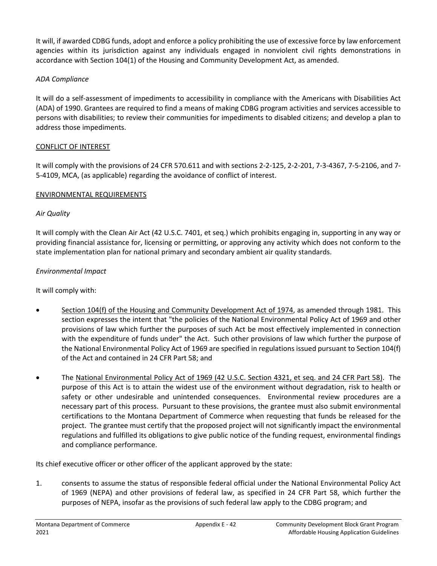It will, if awarded CDBG funds, adopt and enforce a policy prohibiting the use of excessive force by law enforcement agencies within its jurisdiction against any individuals engaged in nonviolent civil rights demonstrations in accordance with Section 104(1) of the Housing and Community Development Act, as amended.

## *ADA Compliance*

It will do a self-assessment of impediments to accessibility in compliance with the Americans with Disabilities Act (ADA) of 1990. Grantees are required to find a means of making CDBG program activities and services accessible to persons with disabilities; to review their communities for impediments to disabled citizens; and develop a plan to address those impediments.

## CONFLICT OF INTEREST

It will comply with the provisions of 24 CFR 570.611 and with sections 2-2-125, 2-2-201, 7-3-4367, 7-5-2106, and 7- 5-4109, MCA, (as applicable) regarding the avoidance of conflict of interest.

## ENVIRONMENTAL REQUIREMENTS

## *Air Quality*

It will comply with the Clean Air Act (42 U.S.C. 7401, et seq.) which prohibits engaging in, supporting in any way or providing financial assistance for, licensing or permitting, or approving any activity which does not conform to the state implementation plan for national primary and secondary ambient air quality standards.

## *Environmental Impact*

It will comply with:

- Section 104(f) of the Housing and Community Development Act of 1974, as amended through 1981. This section expresses the intent that "the policies of the National Environmental Policy Act of 1969 and other provisions of law which further the purposes of such Act be most effectively implemented in connection with the expenditure of funds under" the Act. Such other provisions of law which further the purpose of the National Environmental Policy Act of 1969 are specified in regulations issued pursuant to Section 104(f) of the Act and contained in 24 CFR Part 58; and
- The National Environmental Policy Act of 1969 (42 U.S.C. Section 4321, et seq. and 24 CFR Part 58). The purpose of this Act is to attain the widest use of the environment without degradation, risk to health or safety or other undesirable and unintended consequences. Environmental review procedures are a necessary part of this process. Pursuant to these provisions, the grantee must also submit environmental certifications to the Montana Department of Commerce when requesting that funds be released for the project. The grantee must certify that the proposed project will not significantly impact the environmental regulations and fulfilled its obligations to give public notice of the funding request, environmental findings and compliance performance.

Its chief executive officer or other officer of the applicant approved by the state:

1. consents to assume the status of responsible federal official under the National Environmental Policy Act of 1969 (NEPA) and other provisions of federal law, as specified in 24 CFR Part 58, which further the purposes of NEPA, insofar as the provisions of such federal law apply to the CDBG program; and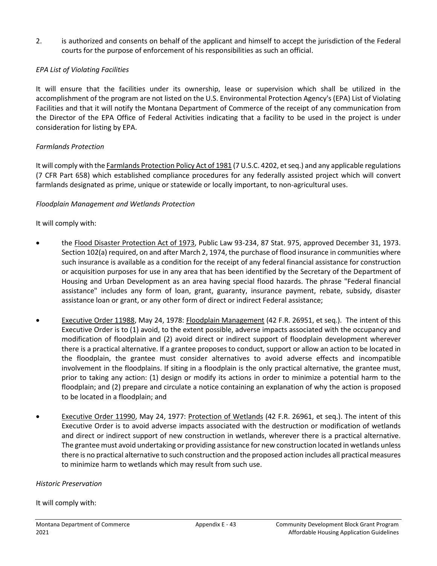2. is authorized and consents on behalf of the applicant and himself to accept the jurisdiction of the Federal courts for the purpose of enforcement of his responsibilities as such an official.

## *EPA List of Violating Facilities*

It will ensure that the facilities under its ownership, lease or supervision which shall be utilized in the accomplishment of the program are not listed on the U.S. Environmental Protection Agency's (EPA) List of Violating Facilities and that it will notify the Montana Department of Commerce of the receipt of any communication from the Director of the EPA Office of Federal Activities indicating that a facility to be used in the project is under consideration for listing by EPA.

## *Farmlands Protection*

It will comply with the Farmlands Protection Policy Act of 1981 (7 U.S.C. 4202, et seq.) and any applicable regulations (7 CFR Part 658) which established compliance procedures for any federally assisted project which will convert farmlands designated as prime, unique or statewide or locally important, to non-agricultural uses.

## *Floodplain Management and Wetlands Protection*

## It will comply with:

- the Flood Disaster Protection Act of 1973, Public Law 93-234, 87 Stat. 975, approved December 31, 1973. Section 102(a) required, on and after March 2, 1974, the purchase of flood insurance in communities where such insurance is available as a condition for the receipt of any federal financial assistance for construction or acquisition purposes for use in any area that has been identified by the Secretary of the Department of Housing and Urban Development as an area having special flood hazards. The phrase "Federal financial assistance" includes any form of loan, grant, guaranty, insurance payment, rebate, subsidy, disaster assistance loan or grant, or any other form of direct or indirect Federal assistance;
- Executive Order 11988, May 24, 1978: Floodplain Management (42 F.R. 26951, et seq.). The intent of this Executive Order is to (1) avoid, to the extent possible, adverse impacts associated with the occupancy and modification of floodplain and (2) avoid direct or indirect support of floodplain development wherever there is a practical alternative. If a grantee proposes to conduct, support or allow an action to be located in the floodplain, the grantee must consider alternatives to avoid adverse effects and incompatible involvement in the floodplains. If siting in a floodplain is the only practical alternative, the grantee must, prior to taking any action: (1) design or modify its actions in order to minimize a potential harm to the floodplain; and (2) prepare and circulate a notice containing an explanation of why the action is proposed to be located in a floodplain; and
- Executive Order 11990, May 24, 1977: Protection of Wetlands (42 F.R. 26961, et seq.). The intent of this Executive Order is to avoid adverse impacts associated with the destruction or modification of wetlands and direct or indirect support of new construction in wetlands, wherever there is a practical alternative. The grantee must avoid undertaking or providing assistance for new construction located in wetlands unless there is no practical alternative to such construction and the proposed action includes all practical measures to minimize harm to wetlands which may result from such use.

#### *Historic Preservation*

## It will comply with: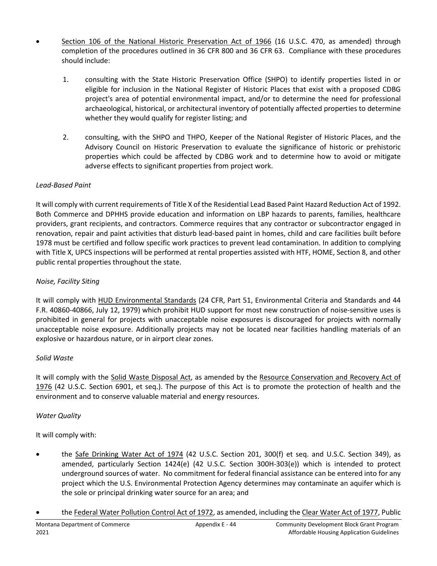- Section 106 of the National Historic Preservation Act of 1966 (16 U.S.C. 470, as amended) through completion of the procedures outlined in 36 CFR 800 and 36 CFR 63. Compliance with these procedures should include:
	- 1. consulting with the State Historic Preservation Office (SHPO) to identify properties listed in or eligible for inclusion in the National Register of Historic Places that exist with a proposed CDBG project's area of potential environmental impact, and/or to determine the need for professional archaeological, historical, or architectural inventory of potentially affected properties to determine whether they would qualify for register listing; and
	- 2. consulting, with the SHPO and THPO, Keeper of the National Register of Historic Places, and the Advisory Council on Historic Preservation to evaluate the significance of historic or prehistoric properties which could be affected by CDBG work and to determine how to avoid or mitigate adverse effects to significant properties from project work.

# *Lead-Based Paint*

It will comply with current requirements of Title X of the Residential Lead Based Paint Hazard Reduction Act of 1992. Both Commerce and DPHHS provide education and information on LBP hazards to parents, families, healthcare providers, grant recipients, and contractors. Commerce requires that any contractor or subcontractor engaged in renovation, repair and paint activities that disturb lead-based paint in homes, child and care facilities built before 1978 must be certified and follow specific work practices to prevent lead contamination. In addition to complying with Title X, UPCS inspections will be performed at rental properties assisted with HTF, HOME, Section 8, and other public rental properties throughout the state.

# *Noise, Facility Siting*

It will comply with HUD Environmental Standards (24 CFR, Part 51, Environmental Criteria and Standards and 44 F.R. 40860-40866, July 12, 1979) which prohibit HUD support for most new construction of noise-sensitive uses is prohibited in general for projects with unacceptable noise exposures is discouraged for projects with normally unacceptable noise exposure. Additionally projects may not be located near facilities handling materials of an explosive or hazardous nature, or in airport clear zones.

## *Solid Waste*

It will comply with the Solid Waste Disposal Act, as amended by the Resource Conservation and Recovery Act of 1976 (42 U.S.C. Section 6901, et seq.). The purpose of this Act is to promote the protection of health and the environment and to conserve valuable material and energy resources.

## *Water Quality*

It will comply with:

- the Safe Drinking Water Act of 1974 (42 U.S.C. Section 201, 300(f) et seq. and U.S.C. Section 349), as amended, particularly Section 1424(e) (42 U.S.C. Section 300H-303(e)) which is intended to protect underground sources of water. No commitment for federal financial assistance can be entered into for any project which the U.S. Environmental Protection Agency determines may contaminate an aquifer which is the sole or principal drinking water source for an area; and
- the Federal Water Pollution Control Act of 1972, as amended, including the Clear Water Act of 1977, Public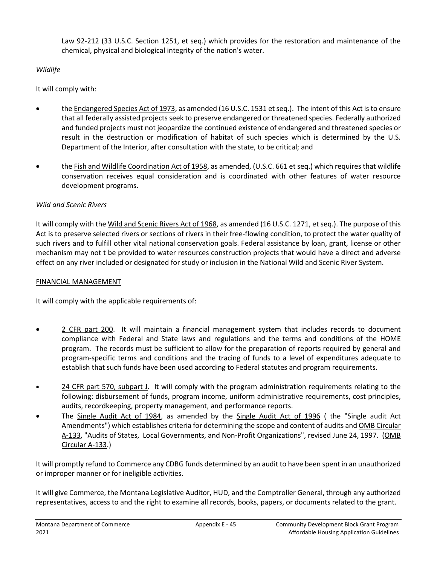Law 92-212 (33 U.S.C. Section 1251, et seq.) which provides for the restoration and maintenance of the chemical, physical and biological integrity of the nation's water.

## *Wildlife*

It will comply with:

- the Endangered Species Act of 1973, as amended (16 U.S.C. 1531 et seq.). The intent of this Act is to ensure that all federally assisted projects seek to preserve endangered or threatened species. Federally authorized and funded projects must not jeopardize the continued existence of endangered and threatened species or result in the destruction or modification of habitat of such species which is determined by the U.S. Department of the Interior, after consultation with the state, to be critical; and
- the Fish and Wildlife Coordination Act of 1958, as amended, (U.S.C. 661 et seq.) which requires that wildlife conservation receives equal consideration and is coordinated with other features of water resource development programs.

# *Wild and Scenic Rivers*

It will comply with the Wild and Scenic Rivers Act of 1968, as amended (16 U.S.C. 1271, et seq.). The purpose of this Act is to preserve selected rivers or sections of rivers in their free-flowing condition, to protect the water quality of such rivers and to fulfill other vital national conservation goals. Federal assistance by loan, grant, license or other mechanism may not t be provided to water resources construction projects that would have a direct and adverse effect on any river included or designated for study or inclusion in the National Wild and Scenic River System.

## FINANCIAL MANAGEMENT

It will comply with the applicable requirements of:

- 2 CFR part 200. It will maintain a financial management system that includes records to document compliance with Federal and State laws and regulations and the terms and conditions of the HOME program. The records must be sufficient to allow for the preparation of reports required by general and program-specific terms and conditions and the tracing of funds to a level of expenditures adequate to establish that such funds have been used according to Federal statutes and program requirements.
- 24 CFR part 570, subpart J. It will comply with the program administration requirements relating to the following: disbursement of funds, program income, uniform administrative requirements, cost principles, audits, recordkeeping, property management, and performance reports.
- The Single Audit Act of 1984, as amended by the Single Audit Act of 1996 ( the "Single audit Act Amendments") which establishes criteria for determining the scope and content of audits and OMB Circular A-133, "Audits of States, Local Governments, and Non-Profit Organizations", revised June 24, 1997. (OMB Circular A-133.)

It will promptly refund to Commerce any CDBG funds determined by an audit to have been spent in an unauthorized or improper manner or for ineligible activities.

It will give Commerce, the Montana Legislative Auditor, HUD, and the Comptroller General, through any authorized representatives, access to and the right to examine all records, books, papers, or documents related to the grant.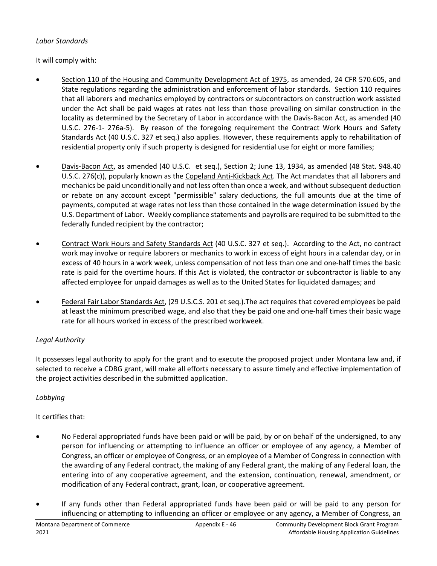## *Labor Standards*

It will comply with:

- Section 110 of the Housing and Community Development Act of 1975, as amended, 24 CFR 570.605, and State regulations regarding the administration and enforcement of labor standards. Section 110 requires that all laborers and mechanics employed by contractors or subcontractors on construction work assisted under the Act shall be paid wages at rates not less than those prevailing on similar construction in the locality as determined by the Secretary of Labor in accordance with the Davis-Bacon Act, as amended (40 U.S.C. 276-1- 276a-5). By reason of the foregoing requirement the Contract Work Hours and Safety Standards Act (40 U.S.C. 327 et seq.) also applies. However, these requirements apply to rehabilitation of residential property only if such property is designed for residential use for eight or more families;
- Davis-Bacon Act, as amended (40 U.S.C. et seq.), Section 2; June 13, 1934, as amended (48 Stat. 948.40 U.S.C. 276(c)), popularly known as the Copeland Anti-Kickback Act. The Act mandates that all laborers and mechanics be paid unconditionally and not less often than once a week, and without subsequent deduction or rebate on any account except "permissible" salary deductions, the full amounts due at the time of payments, computed at wage rates not less than those contained in the wage determination issued by the U.S. Department of Labor. Weekly compliance statements and payrolls are required to be submitted to the federally funded recipient by the contractor;
- Contract Work Hours and Safety Standards Act (40 U.S.C. 327 et seq.). According to the Act, no contract work may involve or require laborers or mechanics to work in excess of eight hours in a calendar day, or in excess of 40 hours in a work week, unless compensation of not less than one and one-half times the basic rate is paid for the overtime hours. If this Act is violated, the contractor or subcontractor is liable to any affected employee for unpaid damages as well as to the United States for liquidated damages; and
- Federal Fair Labor Standards Act, (29 U.S.C.S. 201 et seq.).The act requires that covered employees be paid at least the minimum prescribed wage, and also that they be paid one and one-half times their basic wage rate for all hours worked in excess of the prescribed workweek.

# *Legal Authority*

It possesses legal authority to apply for the grant and to execute the proposed project under Montana law and, if selected to receive a CDBG grant, will make all efforts necessary to assure timely and effective implementation of the project activities described in the submitted application.

## *Lobbying*

It certifies that:

- No Federal appropriated funds have been paid or will be paid, by or on behalf of the undersigned, to any person for influencing or attempting to influence an officer or employee of any agency, a Member of Congress, an officer or employee of Congress, or an employee of a Member of Congress in connection with the awarding of any Federal contract, the making of any Federal grant, the making of any Federal loan, the entering into of any cooperative agreement, and the extension, continuation, renewal, amendment, or modification of any Federal contract, grant, loan, or cooperative agreement.
- If any funds other than Federal appropriated funds have been paid or will be paid to any person for influencing or attempting to influencing an officer or employee or any agency, a Member of Congress, an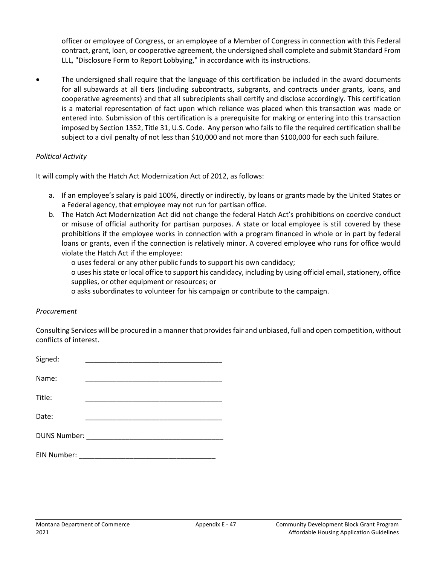officer or employee of Congress, or an employee of a Member of Congress in connection with this Federal contract, grant, loan, or cooperative agreement, the undersigned shall complete and submit Standard From LLL, "Disclosure Form to Report Lobbying," in accordance with its instructions.

• The undersigned shall require that the language of this certification be included in the award documents for all subawards at all tiers (including subcontracts, subgrants, and contracts under grants, loans, and cooperative agreements) and that all subrecipients shall certify and disclose accordingly. This certification is a material representation of fact upon which reliance was placed when this transaction was made or entered into. Submission of this certification is a prerequisite for making or entering into this transaction imposed by Section 1352, Title 31, U.S. Code. Any person who fails to file the required certification shall be subject to a civil penalty of not less than \$10,000 and not more than \$100,000 for each such failure.

#### *Political Activity*

It will comply with the Hatch Act Modernization Act of 2012, as follows:

- a. If an employee's salary is paid 100%, directly or indirectly, by loans or grants made by the United States or a Federal agency, that employee may not run for partisan office.
- b. The Hatch Act Modernization Act did not change the federal Hatch Act's prohibitions on coercive conduct or misuse of official authority for partisan purposes. A state or local employee is still covered by these prohibitions if the employee works in connection with a program financed in whole or in part by federal loans or grants, even if the connection is relatively minor. A covered employee who runs for office would violate the Hatch Act if the employee:

o uses federal or any other public funds to support his own candidacy;

o uses his state or local office to support his candidacy, including by using official email, stationery, office supplies, or other equipment or resources; or

o asks subordinates to volunteer for his campaign or contribute to the campaign.

#### *Procurement*

Consulting Services will be procured in a manner that provides fair and unbiased, full and open competition, without conflicts of interest.

| Signed:                                                                                                                                                                                                                        |  |  |  |
|--------------------------------------------------------------------------------------------------------------------------------------------------------------------------------------------------------------------------------|--|--|--|
| Name:                                                                                                                                                                                                                          |  |  |  |
| Title:                                                                                                                                                                                                                         |  |  |  |
| Date:                                                                                                                                                                                                                          |  |  |  |
| DUNS Number: New York State State State State State State State State State State State State State State State State State State State State State State State State State State State State State State State State State St |  |  |  |
| EIN Number:                                                                                                                                                                                                                    |  |  |  |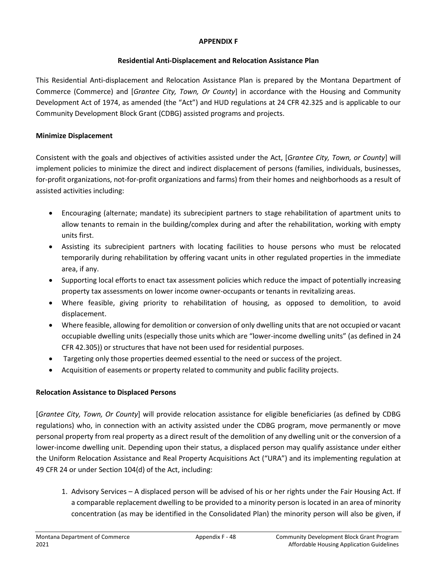#### **APPENDIX F**

## **Residential Anti-Displacement and Relocation Assistance Plan**

This Residential Anti-displacement and Relocation Assistance Plan is prepared by the Montana Department of Commerce (Commerce) and [*Grantee City, Town, Or County*] in accordance with the Housing and Community Development Act of 1974, as amended (the "Act") and HUD regulations at 24 CFR 42.325 and is applicable to our Community Development Block Grant (CDBG) assisted programs and projects.

## **Minimize Displacement**

Consistent with the goals and objectives of activities assisted under the Act, [*Grantee City, Town, or County*] will implement policies to minimize the direct and indirect displacement of persons (families, individuals, businesses, for-profit organizations, not-for-profit organizations and farms) from their homes and neighborhoods as a result of assisted activities including:

- Encouraging (alternate; mandate) its subrecipient partners to stage rehabilitation of apartment units to allow tenants to remain in the building/complex during and after the rehabilitation, working with empty units first.
- Assisting its subrecipient partners with locating facilities to house persons who must be relocated temporarily during rehabilitation by offering vacant units in other regulated properties in the immediate area, if any.
- Supporting local efforts to enact tax assessment policies which reduce the impact of potentially increasing property tax assessments on lower income owner-occupants or tenants in revitalizing areas.
- Where feasible, giving priority to rehabilitation of housing, as opposed to demolition, to avoid displacement.
- Where feasible, allowing for demolition or conversion of only dwelling units that are not occupied or vacant occupiable dwelling units (especially those units which are "lower-income dwelling units" (as defined in 24 CFR 42.305)) or structures that have not been used for residential purposes.
- Targeting only those properties deemed essential to the need or success of the project.
- Acquisition of easements or property related to community and public facility projects.

## **Relocation Assistance to Displaced Persons**

[*Grantee City, Town, Or County*] will provide relocation assistance for eligible beneficiaries (as defined by CDBG regulations) who, in connection with an activity assisted under the CDBG program, move permanently or move personal property from real property as a direct result of the demolition of any dwelling unit or the conversion of a lower-income dwelling unit. Depending upon their status, a displaced person may qualify assistance under either the Uniform Relocation Assistance and Real Property Acquisitions Act ("URA") and its implementing regulation at 49 CFR 24 or under Section 104(d) of the Act, including:

1. Advisory Services – A displaced person will be advised of his or her rights under the Fair Housing Act. If a comparable replacement dwelling to be provided to a minority person is located in an area of minority concentration (as may be identified in the Consolidated Plan) the minority person will also be given, if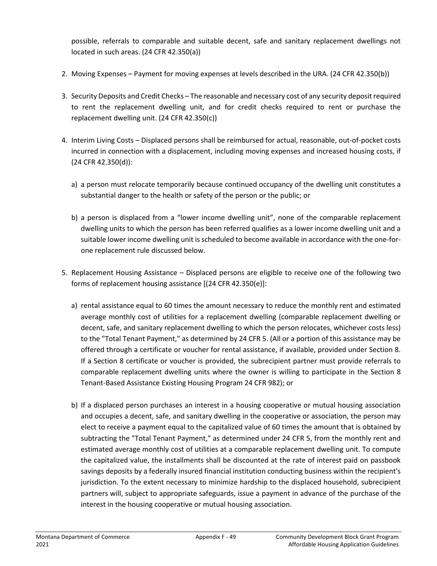possible, referrals to comparable and suitable decent, safe and sanitary replacement dwellings not located in such areas. (24 CFR 42.350(a))

- 2. Moving Expenses Payment for moving expenses at levels described in the URA. (24 CFR 42.350(b))
- 3. Security Deposits and Credit Checks The reasonable and necessary cost of any security deposit required to rent the replacement dwelling unit, and for credit checks required to rent or purchase the replacement dwelling unit. (24 CFR 42.350(c))
- 4. Interim Living Costs Displaced persons shall be reimbursed for actual, reasonable, out-of-pocket costs incurred in connection with a displacement, including moving expenses and increased housing costs, if (24 CFR 42.350(d)):
	- a) a person must relocate temporarily because continued occupancy of the dwelling unit constitutes a substantial danger to the health or safety of the person or the public; or
	- b) a person is displaced from a "lower income dwelling unit", none of the comparable replacement dwelling units to which the person has been referred qualifies as a lower income dwelling unit and a suitable lower income dwelling unit is scheduled to become available in accordance with the one-forone replacement rule discussed below.
- 5. Replacement Housing Assistance Displaced persons are eligible to receive one of the following two forms of replacement housing assistance [(24 CFR 42.350(e)]:
	- a) rental assistance equal to 60 times the amount necessary to reduce the monthly rent and estimated average monthly cost of utilities for a replacement dwelling (comparable replacement dwelling or decent, safe, and sanitary replacement dwelling to which the person relocates, whichever costs less) to the "Total Tenant Payment," as determined by 24 CFR 5. (All or a portion of this assistance may be offered through a certificate or voucher for rental assistance, if available, provided under Section 8. If a Section 8 certificate or voucher is provided, the subrecipient partner must provide referrals to comparable replacement dwelling units where the owner is willing to participate in the Section 8 Tenant-Based Assistance Existing Housing Program 24 CFR 982); or
	- b) If a displaced person purchases an interest in a housing cooperative or mutual housing association and occupies a decent, safe, and sanitary dwelling in the cooperative or association, the person may elect to receive a payment equal to the capitalized value of 60 times the amount that is obtained by subtracting the "Total Tenant Payment," as determined under 24 CFR 5, from the monthly rent and estimated average monthly cost of utilities at a comparable replacement dwelling unit. To compute the capitalized value, the installments shall be discounted at the rate of interest paid on passbook savings deposits by a federally insured financial institution conducting business within the recipient's jurisdiction. To the extent necessary to minimize hardship to the displaced household, subrecipient partners will, subject to appropriate safeguards, issue a payment in advance of the purchase of the interest in the housing cooperative or mutual housing association.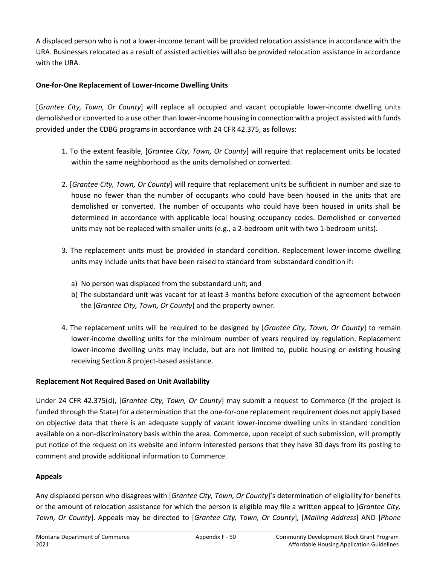A displaced person who is not a lower-income tenant will be provided relocation assistance in accordance with the URA. Businesses relocated as a result of assisted activities will also be provided relocation assistance in accordance with the URA.

## **One-for-One Replacement of Lower-Income Dwelling Units**

[*Grantee City, Town, Or County*] will replace all occupied and vacant occupiable lower-income dwelling units demolished or converted to a use other than lower-income housing in connection with a project assisted with funds provided under the CDBG programs in accordance with 24 CFR 42.375, as follows:

- 1. To the extent feasible, [*Grantee City, Town, Or County*] will require that replacement units be located within the same neighborhood as the units demolished or converted.
- 2. [*Grantee City, Town, Or County*] will require that replacement units be sufficient in number and size to house no fewer than the number of occupants who could have been housed in the units that are demolished or converted. The number of occupants who could have been housed in units shall be determined in accordance with applicable local housing occupancy codes. Demolished or converted units may not be replaced with smaller units (e.g., a 2-bedroom unit with two 1-bedroom units).
- 3. The replacement units must be provided in standard condition. Replacement lower-income dwelling units may include units that have been raised to standard from substandard condition if:
	- a) No person was displaced from the substandard unit; and
	- b) The substandard unit was vacant for at least 3 months before execution of the agreement between the [*Grantee City, Town, Or County*] and the property owner.
- 4. The replacement units will be required to be designed by [*Grantee City, Town, Or County*] to remain lower-income dwelling units for the minimum number of years required by regulation. Replacement lower-income dwelling units may include, but are not limited to, public housing or existing housing receiving Section 8 project-based assistance.

## **Replacement Not Required Based on Unit Availability**

Under 24 CFR 42.375(d), [*Grantee City, Town, Or County*] may submit a request to Commerce (if the project is funded through the State) for a determination that the one-for-one replacement requirement does not apply based on objective data that there is an adequate supply of vacant lower-income dwelling units in standard condition available on a non-discriminatory basis within the area. Commerce, upon receipt of such submission, will promptly put notice of the request on its website and inform interested persons that they have 30 days from its posting to comment and provide additional information to Commerce.

## **Appeals**

Any displaced person who disagrees with [*Grantee City, Town, Or County*]'s determination of eligibility for benefits or the amount of relocation assistance for which the person is eligible may file a written appeal to [*Grantee City, Town, Or County*]. Appeals may be directed to [*Grantee City, Town, Or County*], [*Mailing Address*] AND [*Phone*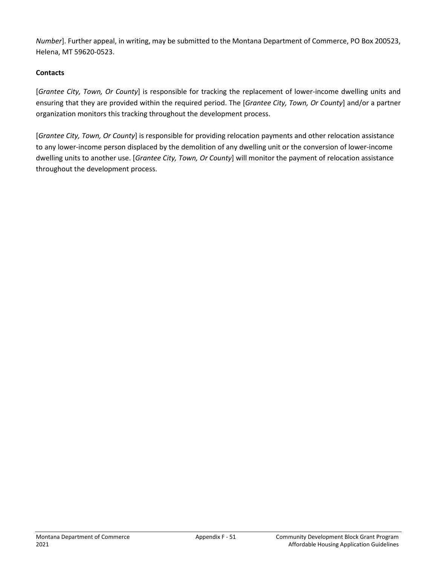*Number*]. Further appeal, in writing, may be submitted to the Montana Department of Commerce, PO Box 200523, Helena, MT 59620-0523.

# **Contacts**

[*Grantee City, Town, Or County*] is responsible for tracking the replacement of lower-income dwelling units and ensuring that they are provided within the required period. The [*Grantee City, Town, Or County*] and/or a partner organization monitors this tracking throughout the development process.

[*Grantee City, Town, Or County*] is responsible for providing relocation payments and other relocation assistance to any lower-income person displaced by the demolition of any dwelling unit or the conversion of lower-income dwelling units to another use. [*Grantee City, Town, Or County*] will monitor the payment of relocation assistance throughout the development process.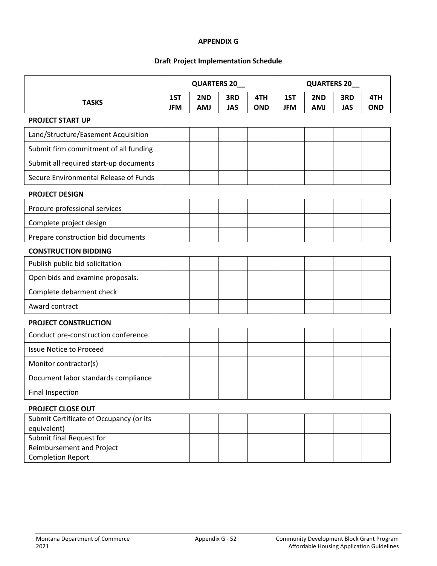#### **APPENDIX G**

#### **Draft Project Implementation Schedule**

|                                                                                   | QUARTERS 20_      |                   |                   | <b>QUARTERS 20_</b> |                   |                   |                   |                   |
|-----------------------------------------------------------------------------------|-------------------|-------------------|-------------------|---------------------|-------------------|-------------------|-------------------|-------------------|
| <b>TASKS</b>                                                                      | 1ST<br><b>JFM</b> | 2ND<br><b>AMJ</b> | 3RD<br><b>JAS</b> | 4TH<br><b>OND</b>   | 1ST<br><b>JFM</b> | 2ND<br><b>AMJ</b> | 3RD<br><b>JAS</b> | 4TH<br><b>OND</b> |
| <b>PROJECT START UP</b>                                                           |                   |                   |                   |                     |                   |                   |                   |                   |
| Land/Structure/Easement Acquisition                                               |                   |                   |                   |                     |                   |                   |                   |                   |
| Submit firm commitment of all funding                                             |                   |                   |                   |                     |                   |                   |                   |                   |
| Submit all required start-up documents                                            |                   |                   |                   |                     |                   |                   |                   |                   |
| Secure Environmental Release of Funds                                             |                   |                   |                   |                     |                   |                   |                   |                   |
| <b>PROJECT DESIGN</b>                                                             |                   |                   |                   |                     |                   |                   |                   |                   |
| Procure professional services                                                     |                   |                   |                   |                     |                   |                   |                   |                   |
| Complete project design                                                           |                   |                   |                   |                     |                   |                   |                   |                   |
| Prepare construction bid documents                                                |                   |                   |                   |                     |                   |                   |                   |                   |
| <b>CONSTRUCTION BIDDING</b>                                                       |                   |                   |                   |                     |                   |                   |                   |                   |
| Publish public bid solicitation                                                   |                   |                   |                   |                     |                   |                   |                   |                   |
| Open bids and examine proposals.                                                  |                   |                   |                   |                     |                   |                   |                   |                   |
| Complete debarment check                                                          |                   |                   |                   |                     |                   |                   |                   |                   |
| Award contract                                                                    |                   |                   |                   |                     |                   |                   |                   |                   |
| PROJECT CONSTRUCTION                                                              |                   |                   |                   |                     |                   |                   |                   |                   |
| Conduct pre-construction conference.                                              |                   |                   |                   |                     |                   |                   |                   |                   |
| <b>Issue Notice to Proceed</b>                                                    |                   |                   |                   |                     |                   |                   |                   |                   |
| Monitor contractor(s)                                                             |                   |                   |                   |                     |                   |                   |                   |                   |
| Document labor standards compliance                                               |                   |                   |                   |                     |                   |                   |                   |                   |
| <b>Final Inspection</b>                                                           |                   |                   |                   |                     |                   |                   |                   |                   |
| PROJECT CLOSE OUT                                                                 |                   |                   |                   |                     |                   |                   |                   |                   |
| Submit Certificate of Occupancy (or its<br>equivalent)                            |                   |                   |                   |                     |                   |                   |                   |                   |
| Submit final Request for<br>Reimbursement and Project<br><b>Completion Report</b> |                   |                   |                   |                     |                   |                   |                   |                   |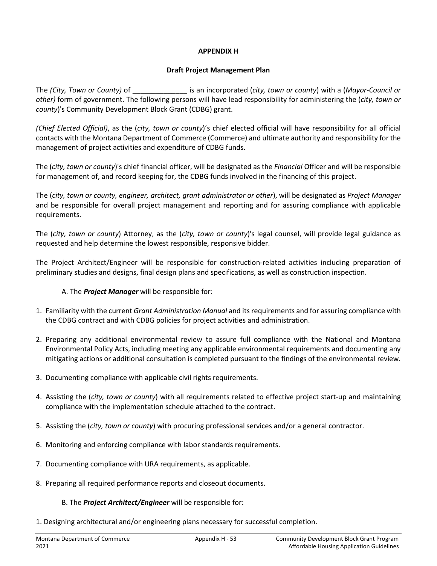#### **APPENDIX H**

#### **Draft Project Management Plan**

The *(City, Town or County)* of \_\_\_\_\_\_\_\_\_\_\_\_\_\_ is an incorporated (*city, town or county*) with a (*Mayor-Council or other)* form of government. The following persons will have lead responsibility for administering the (*city, town or county*)'s Community Development Block Grant (CDBG) grant.

*(Chief Elected Official)*, as the (*city, town or county*)'s chief elected official will have responsibility for all official contacts with the Montana Department of Commerce (Commerce) and ultimate authority and responsibility for the management of project activities and expenditure of CDBG funds.

The (*city, town or county*)'s chief financial officer, will be designated as the *Financial* Officer and will be responsible for management of, and record keeping for, the CDBG funds involved in the financing of this project.

The (*city, town or county, engineer, architect, grant administrator or other*), will be designated as *Project Manager*  and be responsible for overall project management and reporting and for assuring compliance with applicable requirements.

The (*city, town or county*) Attorney, as the (*city, town or county*)'s legal counsel, will provide legal guidance as requested and help determine the lowest responsible, responsive bidder.

The Project Architect/Engineer will be responsible for construction-related activities including preparation of preliminary studies and designs, final design plans and specifications, as well as construction inspection.

## A. The *Project Manager* will be responsible for:

- 1. Familiarity with the current *Grant Administration Manual* and its requirements and for assuring compliance with the CDBG contract and with CDBG policies for project activities and administration.
- 2. Preparing any additional environmental review to assure full compliance with the National and Montana Environmental Policy Acts, including meeting any applicable environmental requirements and documenting any mitigating actions or additional consultation is completed pursuant to the findings of the environmental review.
- 3. Documenting compliance with applicable civil rights requirements.
- 4. Assisting the (*city, town or county*) with all requirements related to effective project start-up and maintaining compliance with the implementation schedule attached to the contract.
- 5. Assisting the (*city, town or county*) with procuring professional services and/or a general contractor.
- 6. Monitoring and enforcing compliance with labor standards requirements.
- 7. Documenting compliance with URA requirements, as applicable.
- 8. Preparing all required performance reports and closeout documents.

#### B. The *Project Architect/Engineer* will be responsible for:

1. Designing architectural and/or engineering plans necessary for successful completion.